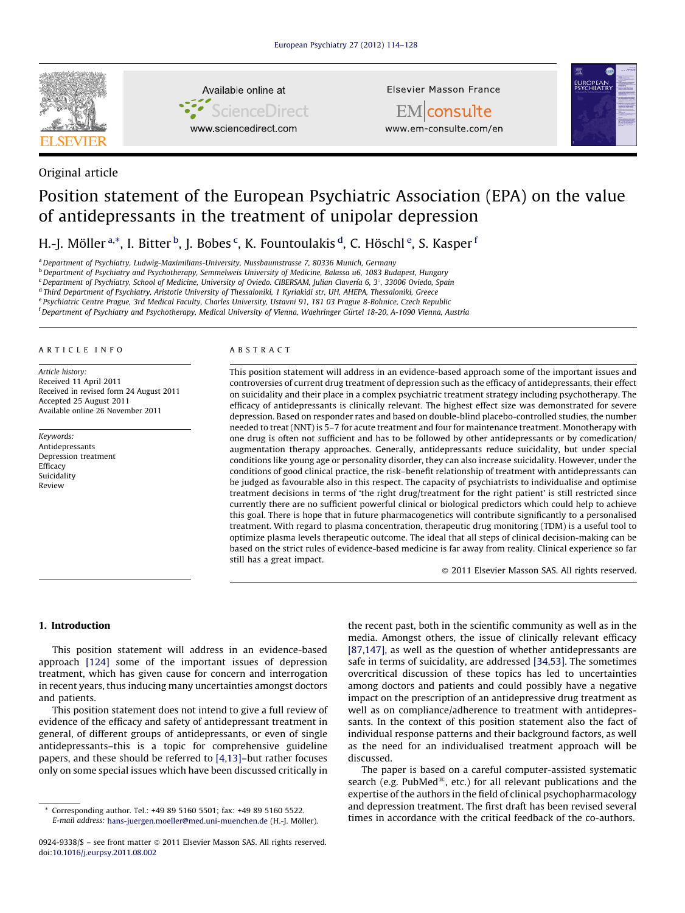

Original article

Available online at ScienceDirect www.sciencedirect.com

Elsevier Masson France



EMconsulte www.em-consulte.com/en

# Position statement of the European Psychiatric Association (EPA) on the value of antidepressants in the treatment of unipolar depression

H.-J. Möller <sup>a,\*</sup>, I. Bitter <sup>b</sup>, J. Bobes <sup>c</sup>, K. Fountoulakis <sup>d</sup>, C. Höschl <sup>e</sup>, S. Kasper <sup>f</sup>

a Department of Psychiatry, Ludwig-Maximilians-University, Nussbaumstrasse 7, 80336 Munich, Germany

<sup>b</sup> Department of Psychiatry and Psychotherapy, Semmelweis University of Medicine, Balassa u6, 1083 Budapest, Hungary

<sup>c</sup> Department of Psychiatry, School of Medicine, University of Oviedo. CIBERSAM, Julian Clavería 6, 3°, 33006 Oviedo, Spain

<sup>d</sup> Third Department of Psychiatry, Aristotle University of Thessaloniki, 1 Kyriakidi str, UH, AHEPA, Thessaloniki, Greece

e Psychiatric Centre Prague, 3rd Medical Faculty, Charles University, Ustavni 91, 181 03 Prague 8-Bohnice, Czech Republic

<sup>f</sup> Department of Psychiatry and Psychotherapy, Medical University of Vienna, Waehringer Gürtel 18-20, A-1090 Vienna, Austria

#### A R T I C L E I N F O

Article history: Received 11 April 2011 Received in revised form 24 August 2011 Accepted 25 August 2011 Available online 26 November 2011

Keywords: Antidepressants Depression treatment **Efficacy** Suicidality Review

## A B S T R A C T

This position statement will address in an evidence-based approach some of the important issues and controversies of current drug treatment of depression such as the efficacy of antidepressants, their effect on suicidality and their place in a complex psychiatric treatment strategy including psychotherapy. The efficacy of antidepressants is clinically relevant. The highest effect size was demonstrated for severe depression. Based on responder rates and based on double-blind placebo-controlled studies, the number needed to treat (NNT) is 5–7 for acute treatment and four for maintenance treatment. Monotherapy with one drug is often not sufficient and has to be followed by other antidepressants or by comedication/ augmentation therapy approaches. Generally, antidepressants reduce suicidality, but under special conditions like young age or personality disorder, they can also increase suicidality. However, under the conditions of good clinical practice, the risk–benefit relationship of treatment with antidepressants can be judged as favourable also in this respect. The capacity of psychiatrists to individualise and optimise treatment decisions in terms of 'the right drug/treatment for the right patient' is still restricted since currently there are no sufficient powerful clinical or biological predictors which could help to achieve this goal. There is hope that in future pharmacogenetics will contribute significantly to a personalised treatment. With regard to plasma concentration, therapeutic drug monitoring (TDM) is a useful tool to optimize plasma levels therapeutic outcome. The ideal that all steps of clinical decision-making can be based on the strict rules of evidence-based medicine is far away from reality. Clinical experience so far still has a great impact.

 $\odot$  2011 Elsevier Masson SAS. All rights reserved.

#### 1. Introduction

This position statement will address in an evidence-based approach [\[124\]](#page-13-0) some of the important issues of depression treatment, which has given cause for concern and interrogation in recent years, thus inducing many uncertainties amongst doctors and patients.

This position statement does not intend to give a full review of evidence of the efficacy and safety of antidepressant treatment in general, of different groups of antidepressants, or even of single antidepressants–this is a topic for comprehensive guideline papers, and these should be referred to [\[4,13\]](#page-11-0)–but rather focuses only on some special issues which have been discussed critically in

the recent past, both in the scientific community as well as in the media. Amongst others, the issue of clinically relevant efficacy [\[87,147\],](#page-12-0) as well as the question of whether antidepressants are safe in terms of suicidality, are addressed [\[34,53\]](#page-11-0). The sometimes overcritical discussion of these topics has led to uncertainties among doctors and patients and could possibly have a negative impact on the prescription of an antidepressive drug treatment as well as on compliance/adherence to treatment with antidepressants. In the context of this position statement also the fact of individual response patterns and their background factors, as well as the need for an individualised treatment approach will be discussed.

The paper is based on a careful computer-assisted systematic search (e.g. PubMed $\mathcal{B}$ , etc.) for all relevant publications and the expertise of the authors in the field of clinical psychopharmacology and depression treatment. The first draft has been revised several times in accordance with the critical feedback of the co-authors.

Corresponding author. Tel.: +49 89 5160 5501; fax: +49 89 5160 5522. E-mail address: [hans-juergen.moeller@med.uni-muenchen.de](mailto:hans-juergen.moeller@med.uni-muenchen.de) (H.-J. Möller).

<sup>0924-9338/\$ –</sup> see front matter © 2011 Elsevier Masson SAS. All rights reserved. doi:[10.1016/j.eurpsy.2011.08.002](http://dx.doi.org/10.1016/j.eurpsy.2011.08.002)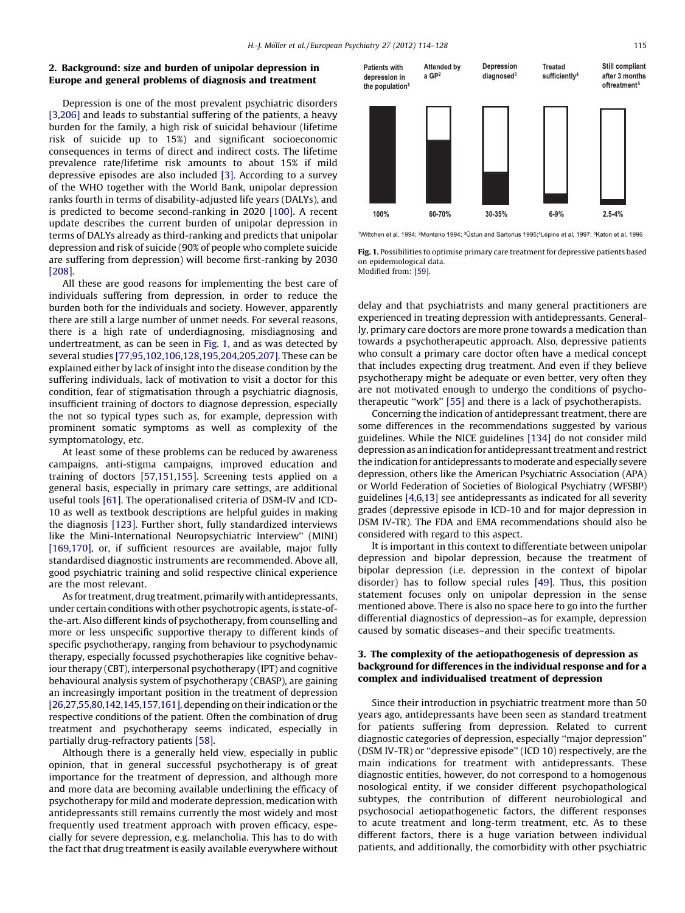# 2. Background: size and burden of unipolar depression in Europe and general problems of diagnosis and treatment

Depression is one of the most prevalent psychiatric disorders [\[3,206\]](#page-11-0) and leads to substantial suffering of the patients, a heavy burden for the family, a high risk of suicidal behaviour (lifetime risk of suicide up to 15%) and significant socioeconomic consequences in terms of direct and indirect costs. The lifetime prevalence rate/lifetime risk amounts to about 15% if mild depressive episodes are also included [\[3\]](#page-11-0). According to a survey of the WHO together with the World Bank, unipolar depression ranks fourth in terms of disability-adjusted life years (DALYs), and is predicted to become second-ranking in 2020 [\[100\].](#page-13-0) A recent update describes the current burden of unipolar depression in terms of DALYs already as third-ranking and predicts that unipolar depression and risk of suicide (90% of people who complete suicide are suffering from depression) will become first-ranking by 2030 [\[208\].](#page-14-0)

All these are good reasons for implementing the best care of individuals suffering from depression, in order to reduce the burden both for the individuals and society. However, apparently there are still a large number of unmet needs. For several reasons, there is a high rate of underdiagnosing, misdiagnosing and undertreatment, as can be seen in Fig. 1, and as was detected by several studies [\[77,95,102,106,128,195,204,205,207\].](#page-12-0) These can be explained either by lack of insight into the disease condition by the suffering individuals, lack of motivation to visit a doctor for this condition, fear of stigmatisation through a psychiatric diagnosis, insufficient training of doctors to diagnose depression, especially the not so typical types such as, for example, depression with prominent somatic symptoms as well as complexity of the symptomatology, etc.

At least some of these problems can be reduced by awareness campaigns, anti-stigma campaigns, improved education and training of doctors [\[57,151,155\].](#page-12-0) Screening tests applied on a general basis, especially in primary care settings, are additional useful tools [\[61\]](#page-12-0). The operationalised criteria of DSM-IV and ICD-10 as well as textbook descriptions are helpful guides in making the diagnosis [\[123\].](#page-13-0) Further short, fully standardized interviews like the Mini-International Neuropsychiatric Interview'' (MINI) [\[169,170\]](#page-14-0), or, if sufficient resources are available, major fully standardised diagnostic instruments are recommended. Above all, good psychiatric training and solid respective clinical experience are the most relevant.

As for treatment, drug treatment, primarily with antidepressants, under certain conditions with other psychotropic agents, is state-ofthe-art. Also different kinds of psychotherapy, from counselling and more or less unspecific supportive therapy to different kinds of specific psychotherapy, ranging from behaviour to psychodynamic therapy, especially focussed psychotherapies like cognitive behaviour therapy (CBT), interpersonal psychotherapy (IPT) and cognitive behavioural analysis system of psychotherapy (CBASP), are gaining an increasingly important position in the treatment of depression [\[26,27,55,80,142,145,157,161\],](#page-11-0) depending on their indication or the respective conditions of the patient. Often the combination of drug treatment and psychotherapy seems indicated, especially in partially drug-refractory patients [\[58\]](#page-12-0).

Although there is a generally held view, especially in public opinion, that in general successful psychotherapy is of great importance for the treatment of depression, and although more and more data are becoming available underlining the efficacy of psychotherapy for mild and moderate depression, medication with antidepressants still remains currently the most widely and most frequently used treatment approach with proven efficacy, especially for severe depression, e.g. melancholia. This has to do with the fact that drug treatment is easily available everywhere without



1Wittchen et al. 1994; 2Montano 1994; 3Üstun and Sartorius 1995; 4Lépine et al. 1997; 5Katon et al. 1996

Fig. 1. Possibilities to optimise primary care treatment for depressive patients based on epidemiological data.

Modified from: [\[59\]](#page-12-0).

delay and that psychiatrists and many general practitioners are experienced in treating depression with antidepressants. Generally, primary care doctors are more prone towards a medication than towards a psychotherapeutic approach. Also, depressive patients who consult a primary care doctor often have a medical concept that includes expecting drug treatment. And even if they believe psychotherapy might be adequate or even better, very often they are not motivated enough to undergo the conditions of psychotherapeutic ''work'' [\[55\]](#page-12-0) and there is a lack of psychotherapists.

Concerning the indication of antidepressant treatment, there are some differences in the recommendations suggested by various guidelines. While the NICE guidelines [\[134\]](#page-13-0) do not consider mild depression as an indication for antidepressant treatment and restrict the indication for antidepressants to moderate and especially severe depression, others like the American Psychiatric Association (APA) or World Federation of Societies of Biological Psychiatry (WFSBP) guidelines [\[4,6,13\]](#page-11-0) see antidepressants as indicated for all severity grades (depressive episode in ICD-10 and for major depression in DSM IV-TR). The FDA and EMA recommendations should also be considered with regard to this aspect.

It is important in this context to differentiate between unipolar depression and bipolar depression, because the treatment of bipolar depression (i.e. depression in the context of bipolar disorder) has to follow special rules [\[49\].](#page-12-0) Thus, this position statement focuses only on unipolar depression in the sense mentioned above. There is also no space here to go into the further differential diagnostics of depression–as for example, depression caused by somatic diseases–and their specific treatments.

# 3. The complexity of the aetiopathogenesis of depression as background for differences in the individual response and for a complex and individualised treatment of depression

Since their introduction in psychiatric treatment more than 50 years ago, antidepressants have been seen as standard treatment for patients suffering from depression. Related to current diagnostic categories of depression, especially ''major depression'' (DSM IV-TR) or ''depressive episode'' (ICD 10) respectively, are the main indications for treatment with antidepressants. These diagnostic entities, however, do not correspond to a homogenous nosological entity, if we consider different psychopathological subtypes, the contribution of different neurobiological and psychosocial aetiopathogenetic factors, the different responses to acute treatment and long-term treatment, etc. As to these different factors, there is a huge variation between individual patients, and additionally, the comorbidity with other psychiatric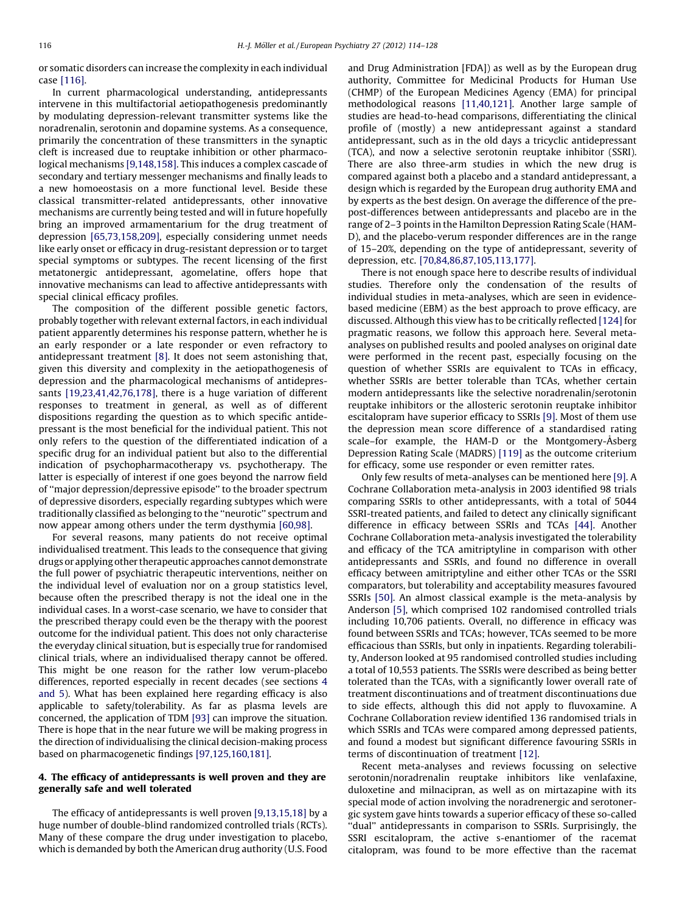or somatic disorders can increase the complexity in each individual case [\[116\]](#page-13-0).

In current pharmacological understanding, antidepressants intervene in this multifactorial aetiopathogenesis predominantly by modulating depression-relevant transmitter systems like the noradrenalin, serotonin and dopamine systems. As a consequence, primarily the concentration of these transmitters in the synaptic cleft is increased due to reuptake inhibition or other pharmacological mechanisms [\[9,148,158\].](#page-11-0) This induces a complex cascade of secondary and tertiary messenger mechanisms and finally leads to a new homoeostasis on a more functional level. Beside these classical transmitter-related antidepressants, other innovative mechanisms are currently being tested and will in future hopefully bring an improved armamentarium for the drug treatment of depression [\[65,73,158,209\],](#page-12-0) especially considering unmet needs like early onset or efficacy in drug-resistant depression or to target special symptoms or subtypes. The recent licensing of the first metatonergic antidepressant, agomelatine, offers hope that innovative mechanisms can lead to affective antidepressants with special clinical efficacy profiles.

The composition of the different possible genetic factors, probably together with relevant external factors, in each individual patient apparently determines his response pattern, whether he is an early responder or a late responder or even refractory to antidepressant treatment [\[8\].](#page-11-0) It does not seem astonishing that, given this diversity and complexity in the aetiopathogenesis of depression and the pharmacological mechanisms of antidepressants [\[19,23,41,42,76,178\]](#page-11-0), there is a huge variation of different responses to treatment in general, as well as of different dispositions regarding the question as to which specific antidepressant is the most beneficial for the individual patient. This not only refers to the question of the differentiated indication of a specific drug for an individual patient but also to the differential indication of psychopharmacotherapy vs. psychotherapy. The latter is especially of interest if one goes beyond the narrow field of ''major depression/depressive episode'' to the broader spectrum of depressive disorders, especially regarding subtypes which were traditionally classified as belonging to the ''neurotic'' spectrum and now appear among others under the term dysthymia [\[60,98\].](#page-12-0)

For several reasons, many patients do not receive optimal individualised treatment. This leads to the consequence that giving drugs or applying other therapeutic approaches cannot demonstrate the full power of psychiatric therapeutic interventions, neither on the individual level of evaluation nor on a group statistics level, because often the prescribed therapy is not the ideal one in the individual cases. In a worst-case scenario, we have to consider that the prescribed therapy could even be the therapy with the poorest outcome for the individual patient. This does not only characterise the everyday clinical situation, but is especially true for randomised clinical trials, where an individualised therapy cannot be offered. This might be one reason for the rather low verum-placebo differences, reported especially in recent decades (see sections 4 and 5). What has been explained here regarding efficacy is also applicable to safety/tolerability. As far as plasma levels are concerned, the application of TDM [\[93\]](#page-12-0) can improve the situation. There is hope that in the near future we will be making progress in the direction of individualising the clinical decision-making process based on pharmacogenetic findings [\[97,125,160,181\]](#page-13-0).

# 4. The efficacy of antidepressants is well proven and they are generally safe and well tolerated

The efficacy of antidepressants is well proven [\[9,13,15,18\]](#page-11-0) by a huge number of double-blind randomized controlled trials (RCTs). Many of these compare the drug under investigation to placebo, which is demanded by both the American drug authority (U.S. Food and Drug Administration [FDA]) as well as by the European drug authority, Committee for Medicinal Products for Human Use (CHMP) of the European Medicines Agency (EMA) for principal methodological reasons [\[11,40,121\]](#page-11-0). Another large sample of studies are head-to-head comparisons, differentiating the clinical profile of (mostly) a new antidepressant against a standard antidepressant, such as in the old days a tricyclic antidepressant (TCA), and now a selective serotonin reuptake inhibitor (SSRI). There are also three-arm studies in which the new drug is compared against both a placebo and a standard antidepressant, a design which is regarded by the European drug authority EMA and by experts as the best design. On average the difference of the prepost-differences between antidepressants and placebo are in the range of 2–3 points in the Hamilton Depression Rating Scale (HAM-D), and the placebo-verum responder differences are in the range of 15–20%, depending on the type of antidepressant, severity of depression, etc. [\[70,84,86,87,105,113,177\]](#page-12-0).

There is not enough space here to describe results of individual studies. Therefore only the condensation of the results of individual studies in meta-analyses, which are seen in evidencebased medicine (EBM) as the best approach to prove efficacy, are discussed. Although this view has to be critically reflected [\[124\]](#page-13-0) for pragmatic reasons, we follow this approach here. Several metaanalyses on published results and pooled analyses on original date were performed in the recent past, especially focusing on the question of whether SSRIs are equivalent to TCAs in efficacy, whether SSRIs are better tolerable than TCAs, whether certain modern antidepressants like the selective noradrenalin/serotonin reuptake inhibitors or the allosteric serotonin reuptake inhibitor escitalopram have superior efficacy to SSRIs [\[9\]](#page-11-0). Most of them use the depression mean score difference of a standardised rating scale–for example, the HAM-D or the Montgomery-Asberg Depression Rating Scale (MADRS) [\[119\]](#page-13-0) as the outcome criterium for efficacy, some use responder or even remitter rates.

Only few results of meta-analyses can be mentioned here [\[9\]](#page-11-0). A Cochrane Collaboration meta-analysis in 2003 identified 98 trials comparing SSRIs to other antidepressants, with a total of 5044 SSRI-treated patients, and failed to detect any clinically significant difference in efficacy between SSRIs and TCAs [\[44\].](#page-12-0) Another Cochrane Collaboration meta-analysis investigated the tolerability and efficacy of the TCA amitriptyline in comparison with other antidepressants and SSRIs, and found no difference in overall efficacy between amitriptyline and either other TCAs or the SSRI comparators, but tolerability and acceptability measures favoured SSRIs [\[50\].](#page-12-0) An almost classical example is the meta-analysis by Anderson [\[5\],](#page-11-0) which comprised 102 randomised controlled trials including 10,706 patients. Overall, no difference in efficacy was found between SSRIs and TCAs; however, TCAs seemed to be more efficacious than SSRIs, but only in inpatients. Regarding tolerability, Anderson looked at 95 randomised controlled studies including a total of 10,553 patients. The SSRIs were described as being better tolerated than the TCAs, with a significantly lower overall rate of treatment discontinuations and of treatment discontinuations due to side effects, although this did not apply to fluvoxamine. A Cochrane Collaboration review identified 136 randomised trials in which SSRIs and TCAs were compared among depressed patients, and found a modest but significant difference favouring SSRIs in terms of discontinuation of treatment [\[12\]](#page-11-0).

Recent meta-analyses and reviews focussing on selective serotonin/noradrenalin reuptake inhibitors like venlafaxine, duloxetine and milnacipran, as well as on mirtazapine with its special mode of action involving the noradrenergic and serotonergic system gave hints towards a superior efficacy of these so-called ''dual'' antidepressants in comparison to SSRIs. Surprisingly, the SSRI escitalopram, the active s-enantiomer of the racemat citalopram, was found to be more effective than the racemat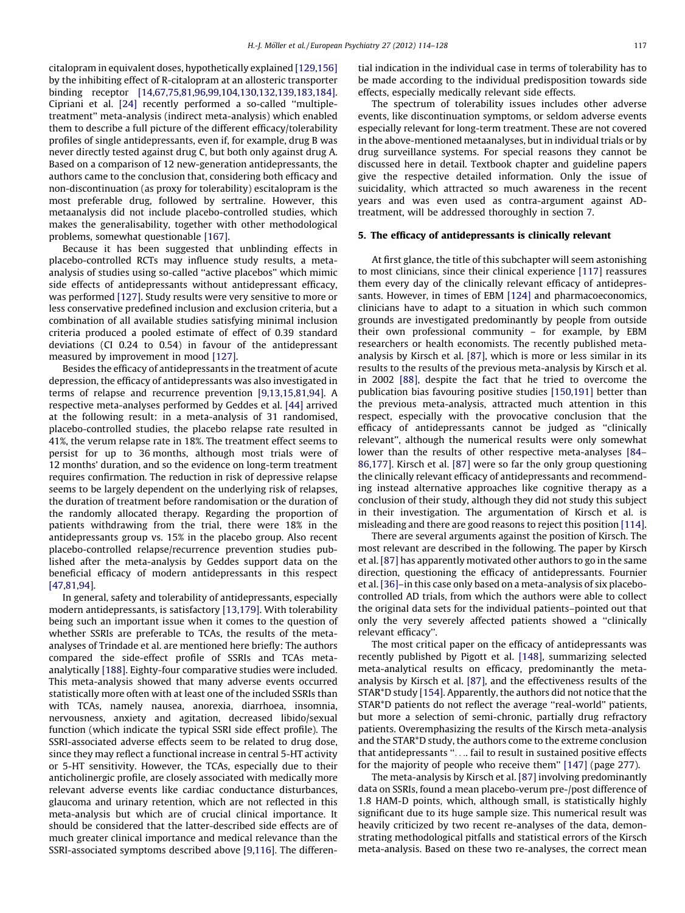citalopram in equivalent doses, hypothetically explained [\[129,156\]](#page-13-0) by the inhibiting effect of R-citalopram at an allosteric transporter binding receptor [\[14,67,75,81,96,99,104,130,132,139,183,184\].](#page-11-0) Cipriani et al. [\[24\]](#page-11-0) recently performed a so-called ''multipletreatment'' meta-analysis (indirect meta-analysis) which enabled them to describe a full picture of the different efficacy/tolerability profiles of single antidepressants, even if, for example, drug B was never directly tested against drug C, but both only against drug A. Based on a comparison of 12 new-generation antidepressants, the authors came to the conclusion that, considering both efficacy and non-discontinuation (as proxy for tolerability) escitalopram is the most preferable drug, followed by sertraline. However, this metaanalysis did not include placebo-controlled studies, which makes the generalisability, together with other methodological problems, somewhat questionable [\[167\]](#page-14-0).

Because it has been suggested that unblinding effects in placebo-controlled RCTs may influence study results, a metaanalysis of studies using so-called ''active placebos'' which mimic side effects of antidepressants without antidepressant efficacy, was performed [\[127\]](#page-13-0). Study results were very sensitive to more or less conservative predefined inclusion and exclusion criteria, but a combination of all available studies satisfying minimal inclusion criteria produced a pooled estimate of effect of 0.39 standard deviations (CI 0.24 to 0.54) in favour of the antidepressant measured by improvement in mood [\[127\]](#page-13-0).

Besides the efficacy of antidepressants in the treatment of acute depression, the efficacy of antidepressants was also investigated in terms of relapse and recurrence prevention [\[9,13,15,81,94\]](#page-11-0). A respective meta-analyses performed by Geddes et al. [\[44\]](#page-12-0) arrived at the following result: in a meta-analysis of 31 randomised, placebo-controlled studies, the placebo relapse rate resulted in 41%, the verum relapse rate in 18%. The treatment effect seems to persist for up to 36 months, although most trials were of 12 months' duration, and so the evidence on long-term treatment requires confirmation. The reduction in risk of depressive relapse seems to be largely dependent on the underlying risk of relapses, the duration of treatment before randomisation or the duration of the randomly allocated therapy. Regarding the proportion of patients withdrawing from the trial, there were 18% in the antidepressants group vs. 15% in the placebo group. Also recent placebo-controlled relapse/recurrence prevention studies published after the meta-analysis by Geddes support data on the beneficial efficacy of modern antidepressants in this respect [\[47,81,94\]](#page-12-0).

In general, safety and tolerability of antidepressants, especially modern antidepressants, is satisfactory [\[13,179\].](#page-11-0) With tolerability being such an important issue when it comes to the question of whether SSRIs are preferable to TCAs, the results of the metaanalyses of Trindade et al. are mentioned here briefly: The authors compared the side-effect profile of SSRIs and TCAs metaanalytically [\[188\]](#page-14-0). Eighty-four comparative studies were included. This meta-analysis showed that many adverse events occurred statistically more often with at least one of the included SSRIs than with TCAs, namely nausea, anorexia, diarrhoea, insomnia, nervousness, anxiety and agitation, decreased libido/sexual function (which indicate the typical SSRI side effect profile). The SSRI-associated adverse effects seem to be related to drug dose, since they may reflect a functional increase in central 5-HT activity or 5-HT sensitivity. However, the TCAs, especially due to their anticholinergic profile, are closely associated with medically more relevant adverse events like cardiac conductance disturbances, glaucoma and urinary retention, which are not reflected in this meta-analysis but which are of crucial clinical importance. It should be considered that the latter-described side effects are of much greater clinical importance and medical relevance than the SSRI-associated symptoms described above [\[9,116\]](#page-11-0). The differential indication in the individual case in terms of tolerability has to be made according to the individual predisposition towards side effects, especially medically relevant side effects.

The spectrum of tolerability issues includes other adverse events, like discontinuation symptoms, or seldom adverse events especially relevant for long-term treatment. These are not covered in the above-mentioned metaanalyses, but in individual trials or by drug surveillance systems. For special reasons they cannot be discussed here in detail. Textbook chapter and guideline papers give the respective detailed information. Only the issue of suicidality, which attracted so much awareness in the recent years and was even used as contra-argument against ADtreatment, will be addressed thoroughly in section [7](#page-6-0).

#### 5. The efficacy of antidepressants is clinically relevant

At first glance, the title of this subchapter will seem astonishing to most clinicians, since their clinical experience [\[117\]](#page-13-0) reassures them every day of the clinically relevant efficacy of antidepressants. However, in times of EBM [\[124\]](#page-13-0) and pharmacoeconomics, clinicians have to adapt to a situation in which such common grounds are investigated predominantly by people from outside their own professional community – for example, by EBM researchers or health economists. The recently published metaanalysis by Kirsch et al. [\[87\],](#page-12-0) which is more or less similar in its results to the results of the previous meta-analysis by Kirsch et al. in 2002 [\[88\]](#page-12-0), despite the fact that he tried to overcome the publication bias favouring positive studies [\[150,191\]](#page-13-0) better than the previous meta-analysis, attracted much attention in this respect, especially with the provocative conclusion that the efficacy of antidepressants cannot be judged as ''clinically relevant'', although the numerical results were only somewhat lower than the results of other respective meta-analyses [\[84–](#page-12-0) [86,177\].](#page-12-0) Kirsch et al. [\[87\]](#page-12-0) were so far the only group questioning the clinically relevant efficacy of antidepressants and recommending instead alternative approaches like cognitive therapy as a conclusion of their study, although they did not study this subject in their investigation. The argumentation of Kirsch et al. is misleading and there are good reasons to reject this position [\[114\].](#page-13-0)

There are several arguments against the position of Kirsch. The most relevant are described in the following. The paper by Kirsch et al. [\[87\]](#page-12-0) has apparently motivated other authors to go in the same direction, questioning the efficacy of antidepressants. Fournier et al. [\[36\]–](#page-11-0)in this case only based on a meta-analysis of six placebocontrolled AD trials, from which the authors were able to collect the original data sets for the individual patients–pointed out that only the very severely affected patients showed a ''clinically relevant efficacy''.

The most critical paper on the efficacy of antidepressants was recently published by Pigott et al. [\[148\],](#page-13-0) summarizing selected meta-analytical results on efficacy, predominantly the metaanalysis by Kirsch et al. [\[87\],](#page-12-0) and the effectiveness results of the STAR\*D study [\[154\]](#page-14-0). Apparently, the authors did not notice that the STAR\*D patients do not reflect the average ''real-world'' patients, but more a selection of semi-chronic, partially drug refractory patients. Overemphasizing the results of the Kirsch meta-analysis and the STAR\*D study, the authors come to the extreme conclusion that antidepressants ".... fail to result in sustained positive effects for the majority of people who receive them'' [\[147\]](#page-13-0) (page 277).

The meta-analysis by Kirsch et al. [\[87\]](#page-12-0) involving predominantly data on SSRIs, found a mean placebo-verum pre-/post difference of 1.8 HAM-D points, which, although small, is statistically highly significant due to its huge sample size. This numerical result was heavily criticized by two recent re-analyses of the data, demonstrating methodological pitfalls and statistical errors of the Kirsch meta-analysis. Based on these two re-analyses, the correct mean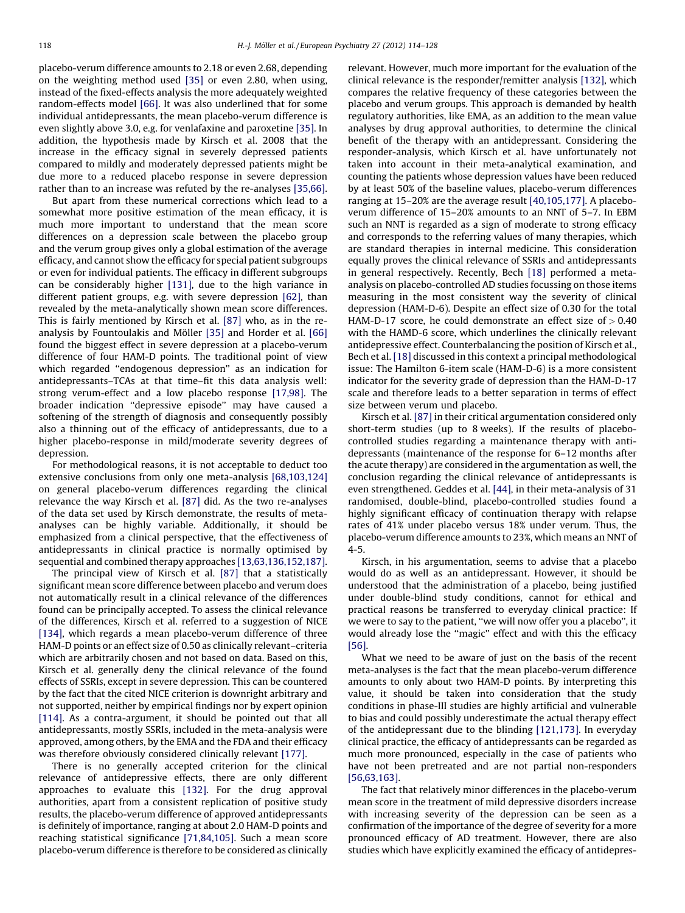placebo-verum difference amounts to 2.18 or even 2.68, depending on the weighting method used [\[35\]](#page-11-0) or even 2.80, when using, instead of the fixed-effects analysis the more adequately weighted random-effects model [\[66\].](#page-12-0) It was also underlined that for some individual antidepressants, the mean placebo-verum difference is even slightly above 3.0, e.g. for venlafaxine and paroxetine [\[35\]](#page-11-0). In addition, the hypothesis made by Kirsch et al. 2008 that the increase in the efficacy signal in severely depressed patients compared to mildly and moderately depressed patients might be due more to a reduced placebo response in severe depression rather than to an increase was refuted by the re-analyses [\[35,66\].](#page-11-0)

But apart from these numerical corrections which lead to a somewhat more positive estimation of the mean efficacy, it is much more important to understand that the mean score differences on a depression scale between the placebo group and the verum group gives only a global estimation of the average efficacy, and cannot show the efficacy for special patient subgroups or even for individual patients. The efficacy in different subgroups can be considerably higher [\[131\],](#page-13-0) due to the high variance in different patient groups, e.g. with severe depression [\[62\],](#page-12-0) than revealed by the meta-analytically shown mean score differences. This is fairly mentioned by Kirsch et al. [\[87\]](#page-12-0) who, as in the reanalysis by Fountoulakis and Möller  $[35]$  and Horder et al.  $[66]$ found the biggest effect in severe depression at a placebo-verum difference of four HAM-D points. The traditional point of view which regarded ''endogenous depression'' as an indication for antidepressants–TCAs at that time–fit this data analysis well: strong verum-effect and a low placebo response [\[17,98\]](#page-11-0). The broader indication ''depressive episode'' may have caused a softening of the strength of diagnosis and consequently possibly also a thinning out of the efficacy of antidepressants, due to a higher placebo-response in mild/moderate severity degrees of depression.

For methodological reasons, it is not acceptable to deduct too extensive conclusions from only one meta-analysis [\[68,103,124\]](#page-12-0) on general placebo-verum differences regarding the clinical relevance the way Kirsch et al. [\[87\]](#page-12-0) did. As the two re-analyses of the data set used by Kirsch demonstrate, the results of metaanalyses can be highly variable. Additionally, it should be emphasized from a clinical perspective, that the effectiveness of antidepressants in clinical practice is normally optimised by sequential and combined therapy approaches [\[13,63,136,152,187\].](#page-11-0)

The principal view of Kirsch et al. [\[87\]](#page-12-0) that a statistically significant mean score difference between placebo and verum does not automatically result in a clinical relevance of the differences found can be principally accepted. To assess the clinical relevance of the differences, Kirsch et al. referred to a suggestion of NICE [\[134\]](#page-13-0), which regards a mean placebo-verum difference of three HAM-D points or an effect size of 0.50 as clinically relevant–criteria which are arbitrarily chosen and not based on data. Based on this, Kirsch et al. generally deny the clinical relevance of the found effects of SSRIs, except in severe depression. This can be countered by the fact that the cited NICE criterion is downright arbitrary and not supported, neither by empirical findings nor by expert opinion [\[114\]](#page-13-0). As a contra-argument, it should be pointed out that all antidepressants, mostly SSRIs, included in the meta-analysis were approved, among others, by the EMA and the FDA and their efficacy was therefore obviously considered clinically relevant [\[177\]](#page-14-0).

There is no generally accepted criterion for the clinical relevance of antidepressive effects, there are only different approaches to evaluate this [\[132\]](#page-13-0). For the drug approval authorities, apart from a consistent replication of positive study results, the placebo-verum difference of approved antidepressants is definitely of importance, ranging at about 2.0 HAM-D points and reaching statistical significance [\[71,84,105\]](#page-12-0). Such a mean score placebo-verum difference is therefore to be considered as clinically relevant. However, much more important for the evaluation of the clinical relevance is the responder/remitter analysis [\[132\],](#page-13-0) which compares the relative frequency of these categories between the placebo and verum groups. This approach is demanded by health regulatory authorities, like EMA, as an addition to the mean value analyses by drug approval authorities, to determine the clinical benefit of the therapy with an antidepressant. Considering the responder-analysis, which Kirsch et al. have unfortunately not taken into account in their meta-analytical examination, and counting the patients whose depression values have been reduced by at least 50% of the baseline values, placebo-verum differences ranging at 15–20% are the average result [\[40,105,177\].](#page-12-0) A placeboverum difference of 15–20% amounts to an NNT of 5–7. In EBM such an NNT is regarded as a sign of moderate to strong efficacy and corresponds to the referring values of many therapies, which are standard therapies in internal medicine. This consideration equally proves the clinical relevance of SSRIs and antidepressants in general respectively. Recently, Bech [\[18\]](#page-11-0) performed a metaanalysis on placebo-controlled AD studies focussing on those items measuring in the most consistent way the severity of clinical depression (HAM-D-6). Despite an effect size of 0.30 for the total HAM-D-17 score, he could demonstrate an effect size of  $> 0.40$ with the HAMD-6 score, which underlines the clinically relevant antidepressive effect. Counterbalancing the position of Kirsch et al., Bech et al. [\[18\]](#page-11-0) discussed in this context a principal methodological issue: The Hamilton 6-item scale (HAM-D-6) is a more consistent indicator for the severity grade of depression than the HAM-D-17 scale and therefore leads to a better separation in terms of effect size between verum und placebo.

Kirsch et al. [\[87\]](#page-12-0) in their critical argumentation considered only short-term studies (up to 8 weeks). If the results of placebocontrolled studies regarding a maintenance therapy with antidepressants (maintenance of the response for 6–12 months after the acute therapy) are considered in the argumentation as well, the conclusion regarding the clinical relevance of antidepressants is even strengthened. Geddes et al. [\[44\]](#page-12-0), in their meta-analysis of 31 randomised, double-blind, placebo-controlled studies found a highly significant efficacy of continuation therapy with relapse rates of 41% under placebo versus 18% under verum. Thus, the placebo-verum difference amounts to 23%, which means an NNT of 4-5.

Kirsch, in his argumentation, seems to advise that a placebo would do as well as an antidepressant. However, it should be understood that the administration of a placebo, being justified under double-blind study conditions, cannot for ethical and practical reasons be transferred to everyday clinical practice: If we were to say to the patient, ''we will now offer you a placebo'', it would already lose the ''magic'' effect and with this the efficacy [\[56\]](#page-12-0).

What we need to be aware of just on the basis of the recent meta-analyses is the fact that the mean placebo-verum difference amounts to only about two HAM-D points. By interpreting this value, it should be taken into consideration that the study conditions in phase-III studies are highly artificial and vulnerable to bias and could possibly underestimate the actual therapy effect of the antidepressant due to the blinding [\[121,173\]](#page-13-0). In everyday clinical practice, the efficacy of antidepressants can be regarded as much more pronounced, especially in the case of patients who have not been pretreated and are not partial non-responders [\[56,63,163\]](#page-12-0).

The fact that relatively minor differences in the placebo-verum mean score in the treatment of mild depressive disorders increase with increasing severity of the depression can be seen as a confirmation of the importance of the degree of severity for a more pronounced efficacy of AD treatment. However, there are also studies which have explicitly examined the efficacy of antidepres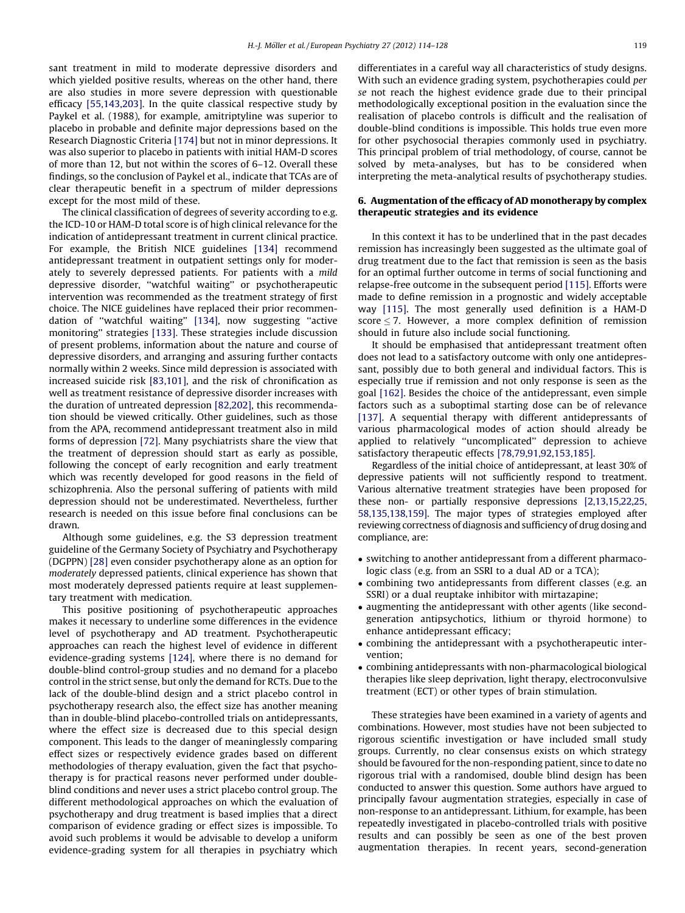sant treatment in mild to moderate depressive disorders and which yielded positive results, whereas on the other hand, there are also studies in more severe depression with questionable efficacy [\[55,143,203\].](#page-12-0) In the quite classical respective study by Paykel et al. (1988), for example, amitriptyline was superior to placebo in probable and definite major depressions based on the Research Diagnostic Criteria [\[174\]](#page-14-0) but not in minor depressions. It was also superior to placebo in patients with initial HAM-D scores of more than 12, but not within the scores of 6–12. Overall these findings, so the conclusion of Paykel et al., indicate that TCAs are of clear therapeutic benefit in a spectrum of milder depressions except for the most mild of these.

The clinical classification of degrees of severity according to e.g. the ICD-10 or HAM-D total score is of high clinical relevance for the indication of antidepressant treatment in current clinical practice. For example, the British NICE guidelines [\[134\]](#page-13-0) recommend antidepressant treatment in outpatient settings only for moderately to severely depressed patients. For patients with a mild depressive disorder, ''watchful waiting'' or psychotherapeutic intervention was recommended as the treatment strategy of first choice. The NICE guidelines have replaced their prior recommendation of ''watchful waiting'' [\[134\]](#page-13-0), now suggesting ''active monitoring'' strategies [\[133\].](#page-13-0) These strategies include discussion of present problems, information about the nature and course of depressive disorders, and arranging and assuring further contacts normally within 2 weeks. Since mild depression is associated with increased suicide risk [\[83,101\]](#page-12-0), and the risk of chronification as well as treatment resistance of depressive disorder increases with the duration of untreated depression [\[82,202\],](#page-12-0) this recommendation should be viewed critically. Other guidelines, such as those from the APA, recommend antidepressant treatment also in mild forms of depression [\[72\].](#page-12-0) Many psychiatrists share the view that the treatment of depression should start as early as possible, following the concept of early recognition and early treatment which was recently developed for good reasons in the field of schizophrenia. Also the personal suffering of patients with mild depression should not be underestimated. Nevertheless, further research is needed on this issue before final conclusions can be drawn.

Although some guidelines, e.g. the S3 depression treatment guideline of the Germany Society of Psychiatry and Psychotherapy (DGPPN) [\[28\]](#page-11-0) even consider psychotherapy alone as an option for moderately depressed patients, clinical experience has shown that most moderately depressed patients require at least supplementary treatment with medication.

This positive positioning of psychotherapeutic approaches makes it necessary to underline some differences in the evidence level of psychotherapy and AD treatment. Psychotherapeutic approaches can reach the highest level of evidence in different evidence-grading systems [\[124\]](#page-13-0), where there is no demand for double-blind control-group studies and no demand for a placebo control in the strict sense, but only the demand for RCTs. Due to the lack of the double-blind design and a strict placebo control in psychotherapy research also, the effect size has another meaning than in double-blind placebo-controlled trials on antidepressants, where the effect size is decreased due to this special design component. This leads to the danger of meaninglessly comparing effect sizes or respectively evidence grades based on different methodologies of therapy evaluation, given the fact that psychotherapy is for practical reasons never performed under doubleblind conditions and never uses a strict placebo control group. The different methodological approaches on which the evaluation of psychotherapy and drug treatment is based implies that a direct comparison of evidence grading or effect sizes is impossible. To avoid such problems it would be advisable to develop a uniform evidence-grading system for all therapies in psychiatry which differentiates in a careful way all characteristics of study designs. With such an evidence grading system, psychotherapies could per se not reach the highest evidence grade due to their principal methodologically exceptional position in the evaluation since the realisation of placebo controls is difficult and the realisation of double-blind conditions is impossible. This holds true even more for other psychosocial therapies commonly used in psychiatry. This principal problem of trial methodology, of course, cannot be solved by meta-analyses, but has to be considered when interpreting the meta-analytical results of psychotherapy studies.

### 6. Augmentation of the efficacy of AD monotherapy by complex therapeutic strategies and its evidence

In this context it has to be underlined that in the past decades remission has increasingly been suggested as the ultimate goal of drug treatment due to the fact that remission is seen as the basis for an optimal further outcome in terms of social functioning and relapse-free outcome in the subsequent period [\[115\]](#page-13-0). Efforts were made to define remission in a prognostic and widely acceptable way [\[115\].](#page-13-0) The most generally used definition is a HAM-D score  $\leq$  7. However, a more complex definition of remission should in future also include social functioning.

It should be emphasised that antidepressant treatment often does not lead to a satisfactory outcome with only one antidepressant, possibly due to both general and individual factors. This is especially true if remission and not only response is seen as the goal [\[162\].](#page-14-0) Besides the choice of the antidepressant, even simple factors such as a suboptimal starting dose can be of relevance [\[137\]](#page-13-0). A sequential therapy with different antidepressants of various pharmacological modes of action should already be applied to relatively ''uncomplicated'' depression to achieve satisfactory therapeutic effects [\[78,79,91,92,153,185\].](#page-12-0)

Regardless of the initial choice of antidepressant, at least 30% of depressive patients will not sufficiently respond to treatment. Various alternative treatment strategies have been proposed for these non- or partially responsive depressions [\[2,13,15,22,25,](#page-11-0) [58,135,138,159\].](#page-11-0) The major types of strategies employed after reviewing correctness of diagnosis and sufficiency of drug dosing and compliance, are:

- switching to another antidepressant from a different pharmacologic class (e.g. from an SSRI to a dual AD or a TCA);
- combining two antidepressants from different classes (e.g. an SSRI) or a dual reuptake inhibitor with mirtazapine;
- augmenting the antidepressant with other agents (like secondgeneration antipsychotics, lithium or thyroid hormone) to enhance antidepressant efficacy;
- combining the antidepressant with a psychotherapeutic intervention;
- combining antidepressants with non-pharmacological biological therapies like sleep deprivation, light therapy, electroconvulsive treatment (ECT) or other types of brain stimulation.

These strategies have been examined in a variety of agents and combinations. However, most studies have not been subjected to rigorous scientific investigation or have included small study groups. Currently, no clear consensus exists on which strategy should be favoured for the non-responding patient, since to date no rigorous trial with a randomised, double blind design has been conducted to answer this question. Some authors have argued to principally favour augmentation strategies, especially in case of non-response to an antidepressant. Lithium, for example, has been repeatedly investigated in placebo-controlled trials with positive results and can possibly be seen as one of the best proven augmentation therapies. In recent years, second-generation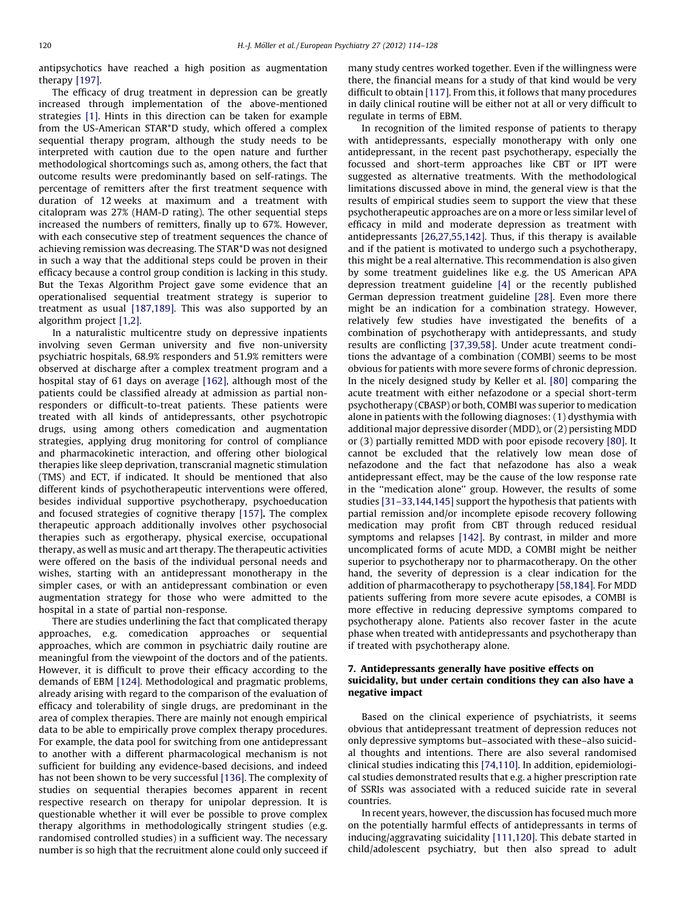<span id="page-6-0"></span>antipsychotics have reached a high position as augmentation therapy [\[197\].](#page-14-0)

The efficacy of drug treatment in depression can be greatly increased through implementation of the above-mentioned strategies [\[1\]](#page-11-0). Hints in this direction can be taken for example from the US-American STAR\*D study, which offered a complex sequential therapy program, although the study needs to be interpreted with caution due to the open nature and further methodological shortcomings such as, among others, the fact that outcome results were predominantly based on self-ratings. The percentage of remitters after the first treatment sequence with duration of 12 weeks at maximum and a treatment with citalopram was 27% (HAM-D rating). The other sequential steps increased the numbers of remitters, finally up to 67%. However, with each consecutive step of treatment sequences the chance of achieving remission was decreasing. The STAR\*D was not designed in such a way that the additional steps could be proven in their efficacy because a control group condition is lacking in this study. But the Texas Algorithm Project gave some evidence that an operationalised sequential treatment strategy is superior to treatment as usual [\[187,189\]](#page-14-0). This was also supported by an algorithm project [\[1,2\]](#page-11-0).

In a naturalistic multicentre study on depressive inpatients involving seven German university and five non-university psychiatric hospitals, 68.9% responders and 51.9% remitters were observed at discharge after a complex treatment program and a hospital stay of 61 days on average [\[162\],](#page-14-0) although most of the patients could be classified already at admission as partial nonresponders or difficult-to-treat patients. These patients were treated with all kinds of antidepressants, other psychotropic drugs, using among others comedication and augmentation strategies, applying drug monitoring for control of compliance and pharmacokinetic interaction, and offering other biological therapies like sleep deprivation, transcranial magnetic stimulation (TMS) and ECT, if indicated. It should be mentioned that also different kinds of psychotherapeutic interventions were offered, besides individual supportive psychotherapy, psychoeducation and focused strategies of cognitive therapy [\[157\]](#page-14-0). The complex therapeutic approach additionally involves other psychosocial therapies such as ergotherapy, physical exercise, occupational therapy, as well as music and art therapy. The therapeutic activities were offered on the basis of the individual personal needs and wishes, starting with an antidepressant monotherapy in the simpler cases, or with an antidepressant combination or even augmentation strategy for those who were admitted to the hospital in a state of partial non-response.

There are studies underlining the fact that complicated therapy approaches, e.g. comedication approaches or sequential approaches, which are common in psychiatric daily routine are meaningful from the viewpoint of the doctors and of the patients. However, it is difficult to prove their efficacy according to the demands of EBM [\[124\].](#page-13-0) Methodological and pragmatic problems, already arising with regard to the comparison of the evaluation of efficacy and tolerability of single drugs, are predominant in the area of complex therapies. There are mainly not enough empirical data to be able to empirically prove complex therapy procedures. For example, the data pool for switching from one antidepressant to another with a different pharmacological mechanism is not sufficient for building any evidence-based decisions, and indeed has not been shown to be very successful [\[136\]](#page-13-0). The complexity of studies on sequential therapies becomes apparent in recent respective research on therapy for unipolar depression. It is questionable whether it will ever be possible to prove complex therapy algorithms in methodologically stringent studies (e.g. randomised controlled studies) in a sufficient way. The necessary number is so high that the recruitment alone could only succeed if many study centres worked together. Even if the willingness were there, the financial means for a study of that kind would be very difficult to obtain [\[117\].](#page-13-0) From this, it follows that many procedures in daily clinical routine will be either not at all or very difficult to regulate in terms of EBM.

In recognition of the limited response of patients to therapy with antidepressants, especially monotherapy with only one antidepressant, in the recent past psychotherapy, especially the focussed and short-term approaches like CBT or IPT were suggested as alternative treatments. With the methodological limitations discussed above in mind, the general view is that the results of empirical studies seem to support the view that these psychotherapeutic approaches are on a more or less similar level of efficacy in mild and moderate depression as treatment with antidepressants [\[26,27,55,142\].](#page-11-0) Thus, if this therapy is available and if the patient is motivated to undergo such a psychotherapy, this might be a real alternative. This recommendation is also given by some treatment guidelines like e.g. the US American APA depression treatment guideline [\[4\]](#page-11-0) or the recently published German depression treatment guideline [\[28\].](#page-11-0) Even more there might be an indication for a combination strategy. However, relatively few studies have investigated the benefits of a combination of psychotherapy with antidepressants, and study results are conflicting [\[37,39,58\]](#page-11-0). Under acute treatment conditions the advantage of a combination (COMBI) seems to be most obvious for patients with more severe forms of chronic depression. In the nicely designed study by Keller et al. [\[80\]](#page-12-0) comparing the acute treatment with either nefazodone or a special short-term psychotherapy (CBASP) or both, COMBI was superior to medication alone in patients with the following diagnoses: (1) dysthymia with additional major depressive disorder (MDD), or (2) persisting MDD or (3) partially remitted MDD with poor episode recovery [\[80\]](#page-12-0). It cannot be excluded that the relatively low mean dose of nefazodone and the fact that nefazodone has also a weak antidepressant effect, may be the cause of the low response rate in the ''medication alone'' group. However, the results of some studies [\[31–33,144,145\]](#page-11-0) support the hypothesis that patients with partial remission and/or incomplete episode recovery following medication may profit from CBT through reduced residual symptoms and relapses [\[142\].](#page-13-0) By contrast, in milder and more uncomplicated forms of acute MDD, a COMBI might be neither superior to psychotherapy nor to pharmacotherapy. On the other hand, the severity of depression is a clear indication for the addition of pharmacotherapy to psychotherapy [\[58,184\].](#page-12-0) For MDD patients suffering from more severe acute episodes, a COMBI is more effective in reducing depressive symptoms compared to psychotherapy alone. Patients also recover faster in the acute phase when treated with antidepressants and psychotherapy than if treated with psychotherapy alone.

### 7. Antidepressants generally have positive effects on suicidality, but under certain conditions they can also have a negative impact

Based on the clinical experience of psychiatrists, it seems obvious that antidepressant treatment of depression reduces not only depressive symptoms but–associated with these–also suicidal thoughts and intentions. There are also several randomised clinical studies indicating this [\[74,110\].](#page-12-0) In addition, epidemiological studies demonstrated results that e.g. a higher prescription rate of SSRIs was associated with a reduced suicide rate in several countries.

In recent years, however, the discussion has focused much more on the potentially harmful effects of antidepressants in terms of inducing/aggravating suicidality [\[111,120\]](#page-13-0). This debate started in child/adolescent psychiatry, but then also spread to adult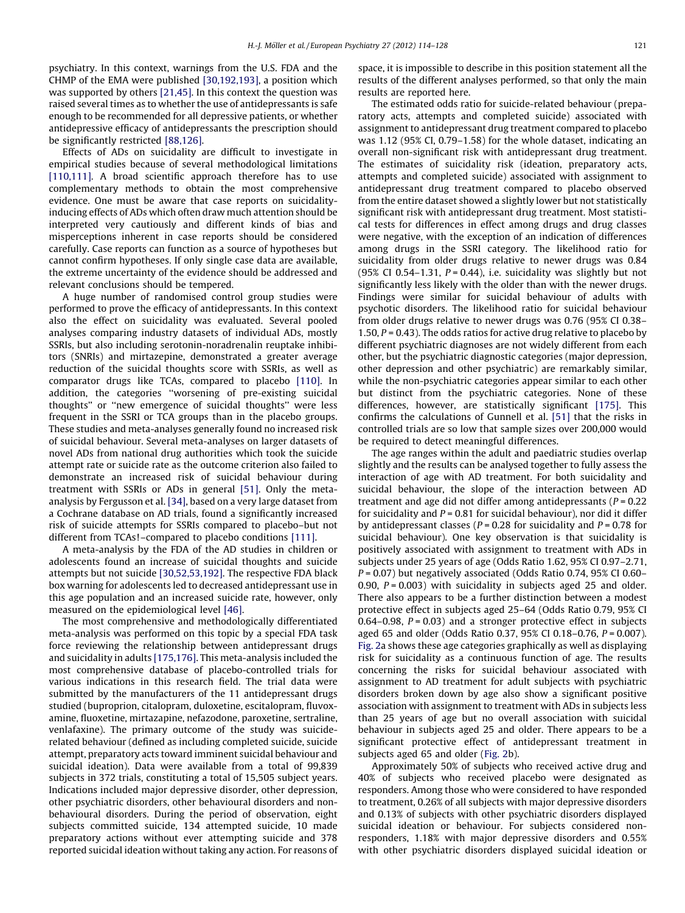psychiatry. In this context, warnings from the U.S. FDA and the CHMP of the EMA were published [\[30,192,193\],](#page-11-0) a position which was supported by others [\[21,45\].](#page-11-0) In this context the question was raised several times as to whether the use of antidepressants is safe enough to be recommended for all depressive patients, or whether antidepressive efficacy of antidepressants the prescription should be significantly restricted [\[88,126\]](#page-12-0).

Effects of ADs on suicidality are difficult to investigate in empirical studies because of several methodological limitations [\[110,111\]](#page-13-0). A broad scientific approach therefore has to use complementary methods to obtain the most comprehensive evidence. One must be aware that case reports on suicidalityinducing effects of ADs which often draw much attention should be interpreted very cautiously and different kinds of bias and misperceptions inherent in case reports should be considered carefully. Case reports can function as a source of hypotheses but cannot confirm hypotheses. If only single case data are available, the extreme uncertainty of the evidence should be addressed and relevant conclusions should be tempered.

A huge number of randomised control group studies were performed to prove the efficacy of antidepressants. In this context also the effect on suicidality was evaluated. Several pooled analyses comparing industry datasets of individual ADs, mostly SSRIs, but also including serotonin-noradrenalin reuptake inhibitors (SNRIs) and mirtazepine, demonstrated a greater average reduction of the suicidal thoughts score with SSRIs, as well as comparator drugs like TCAs, compared to placebo [\[110\]](#page-13-0). In addition, the categories ''worsening of pre-existing suicidal thoughts'' or ''new emergence of suicidal thoughts'' were less frequent in the SSRI or TCA groups than in the placebo groups. These studies and meta-analyses generally found no increased risk of suicidal behaviour. Several meta-analyses on larger datasets of novel ADs from national drug authorities which took the suicide attempt rate or suicide rate as the outcome criterion also failed to demonstrate an increased risk of suicidal behaviour during treatment with SSRIs or ADs in general [\[51\].](#page-12-0) Only the metaanalysis by Fergusson et al. [\[34\],](#page-11-0) based on a very large dataset from a Cochrane database on AD trials, found a significantly increased risk of suicide attempts for SSRIs compared to placebo–but not different from TCAs!–compared to placebo conditions [\[111\].](#page-13-0)

A meta-analysis by the FDA of the AD studies in children or adolescents found an increase of suicidal thoughts and suicide attempts but not suicide [\[30,52,53,192\].](#page-11-0) The respective FDA black box warning for adolescents led to decreased antidepressant use in this age population and an increased suicide rate, however, only measured on the epidemiological level [\[46\].](#page-12-0)

The most comprehensive and methodologically differentiated meta-analysis was performed on this topic by a special FDA task force reviewing the relationship between antidepressant drugs and suicidality in adults [\[175,176\].](#page-14-0) This meta-analysis included the most comprehensive database of placebo-controlled trials for various indications in this research field. The trial data were submitted by the manufacturers of the 11 antidepressant drugs studied (buproprion, citalopram, duloxetine, escitalopram, fluvoxamine, fluoxetine, mirtazapine, nefazodone, paroxetine, sertraline, venlafaxine). The primary outcome of the study was suiciderelated behaviour (defined as including completed suicide, suicide attempt, preparatory acts toward imminent suicidal behaviour and suicidal ideation). Data were available from a total of 99,839 subjects in 372 trials, constituting a total of 15,505 subject years. Indications included major depressive disorder, other depression, other psychiatric disorders, other behavioural disorders and nonbehavioural disorders. During the period of observation, eight subjects committed suicide, 134 attempted suicide, 10 made preparatory actions without ever attempting suicide and 378 reported suicidal ideation without taking any action. For reasons of space, it is impossible to describe in this position statement all the results of the different analyses performed, so that only the main results are reported here.

The estimated odds ratio for suicide-related behaviour (preparatory acts, attempts and completed suicide) associated with assignment to antidepressant drug treatment compared to placebo was 1.12 (95% CI, 0.79–1.58) for the whole dataset, indicating an overall non-significant risk with antidepressant drug treatment. The estimates of suicidality risk (ideation, preparatory acts, attempts and completed suicide) associated with assignment to antidepressant drug treatment compared to placebo observed from the entire dataset showed a slightly lower but not statistically significant risk with antidepressant drug treatment. Most statistical tests for differences in effect among drugs and drug classes were negative, with the exception of an indication of differences among drugs in the SSRI category. The likelihood ratio for suicidality from older drugs relative to newer drugs was 0.84 (95% CI 0.54–1.31,  $P = 0.44$ ), i.e. suicidality was slightly but not significantly less likely with the older than with the newer drugs. Findings were similar for suicidal behaviour of adults with psychotic disorders. The likelihood ratio for suicidal behaviour from older drugs relative to newer drugs was 0.76 (95% CI 0.38– 1.50,  $P = 0.43$ ). The odds ratios for active drug relative to placebo by different psychiatric diagnoses are not widely different from each other, but the psychiatric diagnostic categories (major depression, other depression and other psychiatric) are remarkably similar, while the non-psychiatric categories appear similar to each other but distinct from the psychiatric categories. None of these differences, however, are statistically significant [\[175\]](#page-14-0). This confirms the calculations of Gunnell et al. [\[51\]](#page-12-0) that the risks in controlled trials are so low that sample sizes over 200,000 would be required to detect meaningful differences.

The age ranges within the adult and paediatric studies overlap slightly and the results can be analysed together to fully assess the interaction of age with AD treatment. For both suicidality and suicidal behaviour, the slope of the interaction between AD treatment and age did not differ among antidepressants ( $P = 0.22$ ) for suicidality and  $P = 0.81$  for suicidal behaviour), nor did it differ by antidepressant classes ( $P = 0.28$  for suicidality and  $P = 0.78$  for suicidal behaviour). One key observation is that suicidality is positively associated with assignment to treatment with ADs in subjects under 25 years of age (Odds Ratio 1.62, 95% CI 0.97–2.71,  $P = 0.07$ ) but negatively associated (Odds Ratio 0.74, 95% CI 0.60– 0.90,  $P = 0.003$ ) with suicidality in subjects aged 25 and older. There also appears to be a further distinction between a modest protective effect in subjects aged 25–64 (Odds Ratio 0.79, 95% CI 0.64–0.98,  $P = 0.03$ ) and a stronger protective effect in subjects aged 65 and older (Odds Ratio 0.37, 95% CI 0.18–0.76, P = 0.007). [Fig.](#page-8-0) 2a shows these age categories graphically as well as displaying risk for suicidality as a continuous function of age. The results concerning the risks for suicidal behaviour associated with assignment to AD treatment for adult subjects with psychiatric disorders broken down by age also show a significant positive association with assignment to treatment with ADs in subjects less than 25 years of age but no overall association with suicidal behaviour in subjects aged 25 and older. There appears to be a significant protective effect of antidepressant treatment in subjects aged 65 and older [\(Fig.](#page-8-0) 2b).

Approximately 50% of subjects who received active drug and 40% of subjects who received placebo were designated as responders. Among those who were considered to have responded to treatment, 0.26% of all subjects with major depressive disorders and 0.13% of subjects with other psychiatric disorders displayed suicidal ideation or behaviour. For subjects considered nonresponders, 1.18% with major depressive disorders and 0.55% with other psychiatric disorders displayed suicidal ideation or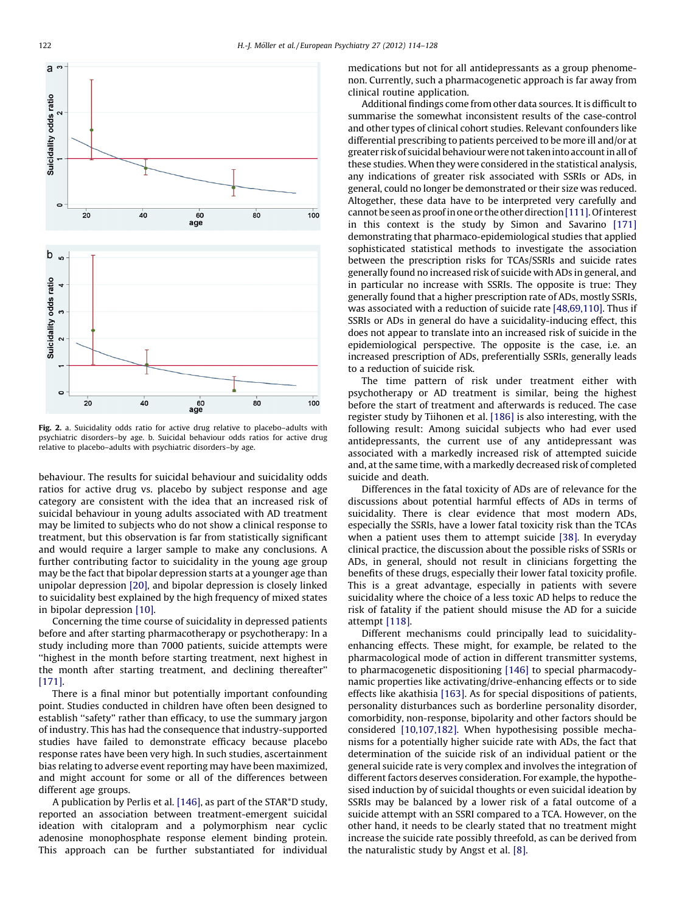<span id="page-8-0"></span>

Fig. 2. a. Suicidality odds ratio for active drug relative to placebo-adults with psychiatric disorders–by age. b. Suicidal behaviour odds ratios for active drug relative to placebo–adults with psychiatric disorders–by age.

behaviour. The results for suicidal behaviour and suicidality odds ratios for active drug vs. placebo by subject response and age category are consistent with the idea that an increased risk of suicidal behaviour in young adults associated with AD treatment may be limited to subjects who do not show a clinical response to treatment, but this observation is far from statistically significant and would require a larger sample to make any conclusions. A further contributing factor to suicidality in the young age group may be the fact that bipolar depression starts at a younger age than unipolar depression [\[20\]](#page-11-0), and bipolar depression is closely linked to suicidality best explained by the high frequency of mixed states in bipolar depression [\[10\].](#page-11-0)

Concerning the time course of suicidality in depressed patients before and after starting pharmacotherapy or psychotherapy: In a study including more than 7000 patients, suicide attempts were ''highest in the month before starting treatment, next highest in the month after starting treatment, and declining thereafter'' [\[171\]](#page-14-0).

There is a final minor but potentially important confounding point. Studies conducted in children have often been designed to establish ''safety'' rather than efficacy, to use the summary jargon of industry. This has had the consequence that industry-supported studies have failed to demonstrate efficacy because placebo response rates have been very high. In such studies, ascertainment bias relating to adverse event reporting may have been maximized, and might account for some or all of the differences between different age groups.

A publication by Perlis et al. [\[146\]](#page-13-0), as part of the STAR\*D study, reported an association between treatment-emergent suicidal ideation with citalopram and a polymorphism near cyclic adenosine monophosphate response element binding protein. This approach can be further substantiated for individual medications but not for all antidepressants as a group phenomenon. Currently, such a pharmacogenetic approach is far away from clinical routine application.

Additional findings come from other data sources. It is difficult to summarise the somewhat inconsistent results of the case-control and other types of clinical cohort studies. Relevant confounders like differential prescribing to patients perceived to be more ill and/or at greater risk of suicidal behaviour were not taken into account in all of these studies. When they were considered in the statistical analysis, any indications of greater risk associated with SSRIs or ADs, in general, could no longer be demonstrated or their size was reduced. Altogether, these data have to be interpreted very carefully and cannot be seen as proof in one or the other direction [\[111\].](#page-13-0) Of interest in this context is the study by Simon and Savarino [\[171\]](#page-14-0) demonstrating that pharmaco-epidemiological studies that applied sophisticated statistical methods to investigate the association between the prescription risks for TCAs/SSRIs and suicide rates generally found no increased risk of suicide with ADs in general, and in particular no increase with SSRIs. The opposite is true: They generally found that a higher prescription rate of ADs, mostly SSRIs, was associated with a reduction of suicide rate [\[48,69,110\]](#page-12-0). Thus if SSRIs or ADs in general do have a suicidality-inducing effect, this does not appear to translate into an increased risk of suicide in the epidemiological perspective. The opposite is the case, i.e. an increased prescription of ADs, preferentially SSRIs, generally leads to a reduction of suicide risk.

The time pattern of risk under treatment either with psychotherapy or AD treatment is similar, being the highest before the start of treatment and afterwards is reduced. The case register study by Tiihonen et al. [\[186\]](#page-14-0) is also interesting, with the following result: Among suicidal subjects who had ever used antidepressants, the current use of any antidepressant was associated with a markedly increased risk of attempted suicide and, at the same time, with a markedly decreased risk of completed suicide and death.

Differences in the fatal toxicity of ADs are of relevance for the discussions about potential harmful effects of ADs in terms of suicidality. There is clear evidence that most modern ADs, especially the SSRIs, have a lower fatal toxicity risk than the TCAs when a patient uses them to attempt suicide [\[38\]](#page-11-0). In everyday clinical practice, the discussion about the possible risks of SSRIs or ADs, in general, should not result in clinicians forgetting the benefits of these drugs, especially their lower fatal toxicity profile. This is a great advantage, especially in patients with severe suicidality where the choice of a less toxic AD helps to reduce the risk of fatality if the patient should misuse the AD for a suicide attempt [\[118\]](#page-13-0).

Different mechanisms could principally lead to suicidalityenhancing effects. These might, for example, be related to the pharmacological mode of action in different transmitter systems, to pharmacogenetic dispositioning [\[146\]](#page-13-0) to special pharmacodynamic properties like activating/drive-enhancing effects or to side effects like akathisia [\[163\]](#page-14-0). As for special dispositions of patients, personality disturbances such as borderline personality disorder, comorbidity, non-response, bipolarity and other factors should be considered [\[10,107,182\]](#page-11-0). When hypothesising possible mechanisms for a potentially higher suicide rate with ADs, the fact that determination of the suicide risk of an individual patient or the general suicide rate is very complex and involves the integration of different factors deserves consideration. For example, the hypothesised induction by of suicidal thoughts or even suicidal ideation by SSRIs may be balanced by a lower risk of a fatal outcome of a suicide attempt with an SSRI compared to a TCA. However, on the other hand, it needs to be clearly stated that no treatment might increase the suicide rate possibly threefold, as can be derived from the naturalistic study by Angst et al. [\[8\]](#page-11-0).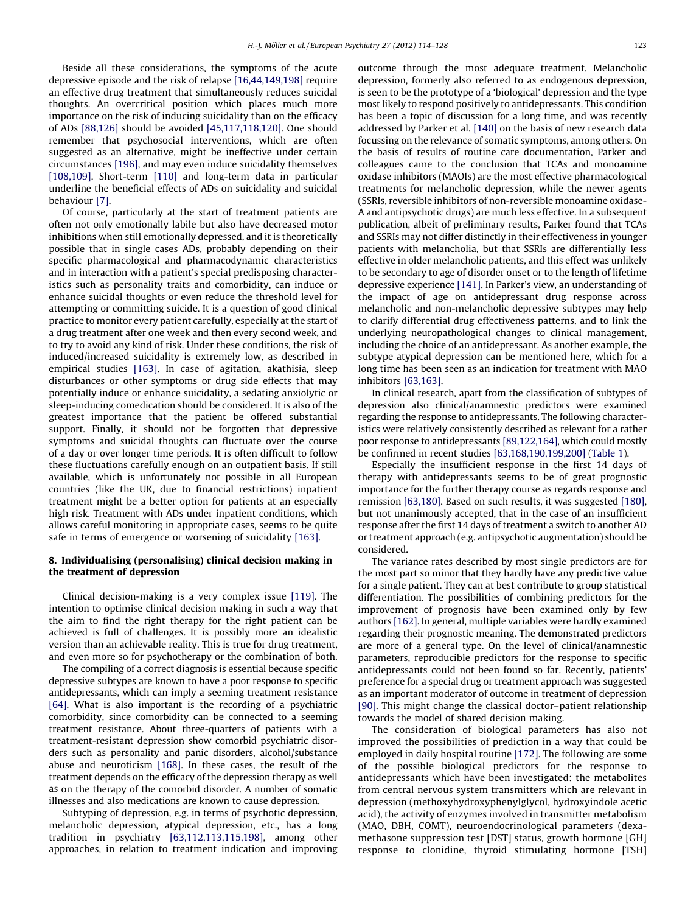Beside all these considerations, the symptoms of the acute depressive episode and the risk of relapse [\[16,44,149,198\]](#page-11-0) require an effective drug treatment that simultaneously reduces suicidal thoughts. An overcritical position which places much more importance on the risk of inducing suicidality than on the efficacy of ADs [\[88,126\]](#page-12-0) should be avoided [\[45,117,118,120\].](#page-12-0) One should remember that psychosocial interventions, which are often suggested as an alternative, might be ineffective under certain circumstances [\[196\]](#page-14-0), and may even induce suicidality themselves [\[108,109\]](#page-13-0). Short-term [\[110\]](#page-13-0) and long-term data in particular underline the beneficial effects of ADs on suicidality and suicidal behaviour [\[7\].](#page-11-0)

Of course, particularly at the start of treatment patients are often not only emotionally labile but also have decreased motor inhibitions when still emotionally depressed, and it is theoretically possible that in single cases ADs, probably depending on their specific pharmacological and pharmacodynamic characteristics and in interaction with a patient's special predisposing characteristics such as personality traits and comorbidity, can induce or enhance suicidal thoughts or even reduce the threshold level for attempting or committing suicide. It is a question of good clinical practice to monitor every patient carefully, especially at the start of a drug treatment after one week and then every second week, and to try to avoid any kind of risk. Under these conditions, the risk of induced/increased suicidality is extremely low, as described in empirical studies [\[163\].](#page-14-0) In case of agitation, akathisia, sleep disturbances or other symptoms or drug side effects that may potentially induce or enhance suicidality, a sedating anxiolytic or sleep-inducing comedication should be considered. It is also of the greatest importance that the patient be offered substantial support. Finally, it should not be forgotten that depressive symptoms and suicidal thoughts can fluctuate over the course of a day or over longer time periods. It is often difficult to follow these fluctuations carefully enough on an outpatient basis. If still available, which is unfortunately not possible in all European countries (like the UK, due to financial restrictions) inpatient treatment might be a better option for patients at an especially high risk. Treatment with ADs under inpatient conditions, which allows careful monitoring in appropriate cases, seems to be quite safe in terms of emergence or worsening of suicidality [\[163\].](#page-14-0)

#### 8. Individualising (personalising) clinical decision making in the treatment of depression

Clinical decision-making is a very complex issue [\[119\].](#page-13-0) The intention to optimise clinical decision making in such a way that the aim to find the right therapy for the right patient can be achieved is full of challenges. It is possibly more an idealistic version than an achievable reality. This is true for drug treatment, and even more so for psychotherapy or the combination of both.

The compiling of a correct diagnosis is essential because specific depressive subtypes are known to have a poor response to specific antidepressants, which can imply a seeming treatment resistance [\[64\].](#page-12-0) What is also important is the recording of a psychiatric comorbidity, since comorbidity can be connected to a seeming treatment resistance. About three-quarters of patients with a treatment-resistant depression show comorbid psychiatric disorders such as personality and panic disorders, alcohol/substance abuse and neuroticism [\[168\]](#page-14-0). In these cases, the result of the treatment depends on the efficacy of the depression therapy as well as on the therapy of the comorbid disorder. A number of somatic illnesses and also medications are known to cause depression.

Subtyping of depression, e.g. in terms of psychotic depression, melancholic depression, atypical depression, etc., has a long tradition in psychiatry [\[63,112,113,115,198\],](#page-12-0) among other approaches, in relation to treatment indication and improving outcome through the most adequate treatment. Melancholic depression, formerly also referred to as endogenous depression, is seen to be the prototype of a 'biological' depression and the type most likely to respond positively to antidepressants. This condition has been a topic of discussion for a long time, and was recently addressed by Parker et al. [\[140\]](#page-13-0) on the basis of new research data focussing on the relevance of somatic symptoms, among others. On the basis of results of routine care documentation, Parker and colleagues came to the conclusion that TCAs and monoamine oxidase inhibitors (MAOIs) are the most effective pharmacological treatments for melancholic depression, while the newer agents (SSRIs, reversible inhibitors of non-reversible monoamine oxidase-A and antipsychotic drugs) are much less effective. In a subsequent publication, albeit of preliminary results, Parker found that TCAs and SSRIs may not differ distinctly in their effectiveness in younger patients with melancholia, but that SSRIs are differentially less effective in older melancholic patients, and this effect was unlikely to be secondary to age of disorder onset or to the length of lifetime depressive experience [\[141\]](#page-13-0). In Parker's view, an understanding of the impact of age on antidepressant drug response across melancholic and non-melancholic depressive subtypes may help to clarify differential drug effectiveness patterns, and to link the underlying neuropathological changes to clinical management, including the choice of an antidepressant. As another example, the subtype atypical depression can be mentioned here, which for a long time has been seen as an indication for treatment with MAO inhibitors [\[63,163\].](#page-12-0)

In clinical research, apart from the classification of subtypes of depression also clinical/anamnestic predictors were examined regarding the response to antidepressants. The following characteristics were relatively consistently described as relevant for a rather poor response to antidepressants [\[89,122,164\],](#page-12-0) which could mostly be confirmed in recent studies [\[63,168,190,199,200\]](#page-12-0) ([Table](#page-10-0) 1).

Especially the insufficient response in the first 14 days of therapy with antidepressants seems to be of great prognostic importance for the further therapy course as regards response and remission [\[63,180\]](#page-12-0). Based on such results, it was suggested [\[180\],](#page-14-0) but not unanimously accepted, that in the case of an insufficient response after the first 14 days of treatment a switch to another AD or treatment approach (e.g. antipsychotic augmentation) should be considered.

The variance rates described by most single predictors are for the most part so minor that they hardly have any predictive value for a single patient. They can at best contribute to group statistical differentiation. The possibilities of combining predictors for the improvement of prognosis have been examined only by few authors [\[162\].](#page-14-0) In general, multiple variables were hardly examined regarding their prognostic meaning. The demonstrated predictors are more of a general type. On the level of clinical/anamnestic parameters, reproducible predictors for the response to specific antidepressants could not been found so far. Recently, patients' preference for a special drug or treatment approach was suggested as an important moderator of outcome in treatment of depression [\[90\]](#page-12-0). This might change the classical doctor–patient relationship towards the model of shared decision making.

The consideration of biological parameters has also not improved the possibilities of prediction in a way that could be employed in daily hospital routine [\[172\]](#page-14-0). The following are some of the possible biological predictors for the response to antidepressants which have been investigated: the metabolites from central nervous system transmitters which are relevant in depression (methoxyhydroxyphenylglycol, hydroxyindole acetic acid), the activity of enzymes involved in transmitter metabolism (MAO, DBH, COMT), neuroendocrinological parameters (dexamethasone suppression test [DST] status, growth hormone [GH] response to clonidine, thyroid stimulating hormone [TSH]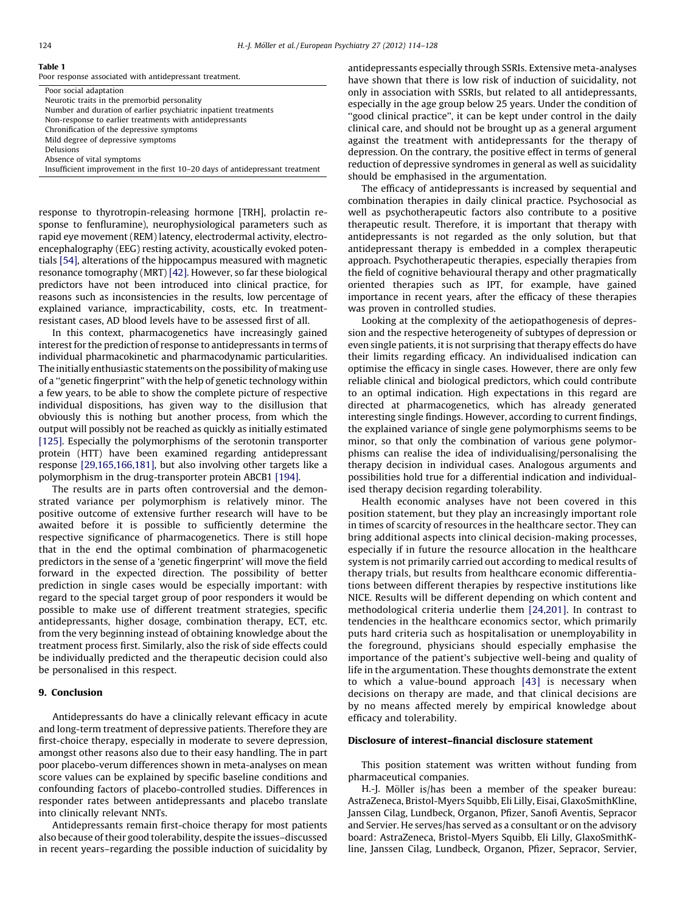#### <span id="page-10-0"></span>Table 1

| Poor response associated with antidepressant treatment. |  |
|---------------------------------------------------------|--|
|---------------------------------------------------------|--|

| Poor social adaptation                                                       |
|------------------------------------------------------------------------------|
| Neurotic traits in the premorbid personality                                 |
| Number and duration of earlier psychiatric inpatient treatments              |
| Non-response to earlier treatments with antidepressants                      |
| Chronification of the depressive symptoms                                    |
| Mild degree of depressive symptoms                                           |
| Delusions                                                                    |
| Absence of vital symptoms                                                    |
| Insufficient improvement in the first 10–20 days of antidepressant treatment |
|                                                                              |

response to thyrotropin-releasing hormone [TRH], prolactin response to fenfluramine), neurophysiological parameters such as rapid eye movement (REM) latency, electrodermal activity, electroencephalography (EEG) resting activity, acoustically evoked potentials [\[54\]](#page-12-0), alterations of the hippocampus measured with magnetic resonance tomography (MRT) [\[42\]](#page-12-0). However, so far these biological predictors have not been introduced into clinical practice, for reasons such as inconsistencies in the results, low percentage of explained variance, impracticability, costs, etc. In treatmentresistant cases, AD blood levels have to be assessed first of all.

In this context, pharmacogenetics have increasingly gained interest for the prediction of response to antidepressants in terms of individual pharmacokinetic and pharmacodynamic particularities. The initially enthusiastic statements on the possibility of making use of a ''genetic fingerprint'' with the help of genetic technology within a few years, to be able to show the complete picture of respective individual dispositions, has given way to the disillusion that obviously this is nothing but another process, from which the output will possibly not be reached as quickly as initially estimated [\[125\].](#page-13-0) Especially the polymorphisms of the serotonin transporter protein (HTT) have been examined regarding antidepressant response [\[29,165,166,181\]](#page-11-0), but also involving other targets like a polymorphism in the drug-transporter protein ABCB1 [\[194\].](#page-14-0)

The results are in parts often controversial and the demonstrated variance per polymorphism is relatively minor. The positive outcome of extensive further research will have to be awaited before it is possible to sufficiently determine the respective significance of pharmacogenetics. There is still hope that in the end the optimal combination of pharmacogenetic predictors in the sense of a 'genetic fingerprint' will move the field forward in the expected direction. The possibility of better prediction in single cases would be especially important: with regard to the special target group of poor responders it would be possible to make use of different treatment strategies, specific antidepressants, higher dosage, combination therapy, ECT, etc. from the very beginning instead of obtaining knowledge about the treatment process first. Similarly, also the risk of side effects could be individually predicted and the therapeutic decision could also be personalised in this respect.

#### 9. Conclusion

Antidepressants do have a clinically relevant efficacy in acute and long-term treatment of depressive patients. Therefore they are first-choice therapy, especially in moderate to severe depression, amongst other reasons also due to their easy handling. The in part poor placebo-verum differences shown in meta-analyses on mean score values can be explained by specific baseline conditions and confounding factors of placebo-controlled studies. Differences in responder rates between antidepressants and placebo translate into clinically relevant NNTs.

Antidepressants remain first-choice therapy for most patients also because of their good tolerability, despite the issues-discussed in recent years–regarding the possible induction of suicidality by antidepressants especially through SSRIs. Extensive meta-analyses have shown that there is low risk of induction of suicidality, not only in association with SSRIs, but related to all antidepressants, especially in the age group below 25 years. Under the condition of ''good clinical practice'', it can be kept under control in the daily clinical care, and should not be brought up as a general argument against the treatment with antidepressants for the therapy of depression. On the contrary, the positive effect in terms of general reduction of depressive syndromes in general as well as suicidality should be emphasised in the argumentation.

The efficacy of antidepressants is increased by sequential and combination therapies in daily clinical practice. Psychosocial as well as psychotherapeutic factors also contribute to a positive therapeutic result. Therefore, it is important that therapy with antidepressants is not regarded as the only solution, but that antidepressant therapy is embedded in a complex therapeutic approach. Psychotherapeutic therapies, especially therapies from the field of cognitive behavioural therapy and other pragmatically oriented therapies such as IPT, for example, have gained importance in recent years, after the efficacy of these therapies was proven in controlled studies.

Looking at the complexity of the aetiopathogenesis of depression and the respective heterogeneity of subtypes of depression or even single patients, it is not surprising that therapy effects do have their limits regarding efficacy. An individualised indication can optimise the efficacy in single cases. However, there are only few reliable clinical and biological predictors, which could contribute to an optimal indication. High expectations in this regard are directed at pharmacogenetics, which has already generated interesting single findings. However, according to current findings, the explained variance of single gene polymorphisms seems to be minor, so that only the combination of various gene polymorphisms can realise the idea of individualising/personalising the therapy decision in individual cases. Analogous arguments and possibilities hold true for a differential indication and individualised therapy decision regarding tolerability.

Health economic analyses have not been covered in this position statement, but they play an increasingly important role in times of scarcity of resources in the healthcare sector. They can bring additional aspects into clinical decision-making processes, especially if in future the resource allocation in the healthcare system is not primarily carried out according to medical results of therapy trials, but results from healthcare economic differentiations between different therapies by respective institutions like NICE. Results will be different depending on which content and methodological criteria underlie them [\[24,201\].](#page-11-0) In contrast to tendencies in the healthcare economics sector, which primarily puts hard criteria such as hospitalisation or unemployability in the foreground, physicians should especially emphasise the importance of the patient's subjective well-being and quality of life in the argumentation. These thoughts demonstrate the extent to which a value-bound approach [\[43\]](#page-12-0) is necessary when decisions on therapy are made, and that clinical decisions are by no means affected merely by empirical knowledge about efficacy and tolerability.

#### Disclosure of interest–financial disclosure statement

This position statement was written without funding from pharmaceutical companies.

H.-J. Möller is/has been a member of the speaker bureau: AstraZeneca, Bristol-Myers Squibb, Eli Lilly, Eisai, GlaxoSmithKline, Janssen Cilag, Lundbeck, Organon, Pfizer, Sanofi Aventis, Sepracor and Servier. He serves/has served as a consultant or on the advisory board: AstraZeneca, Bristol-Myers Squibb, Eli Lilly, GlaxoSmithKline, Janssen Cilag, Lundbeck, Organon, Pfizer, Sepracor, Servier,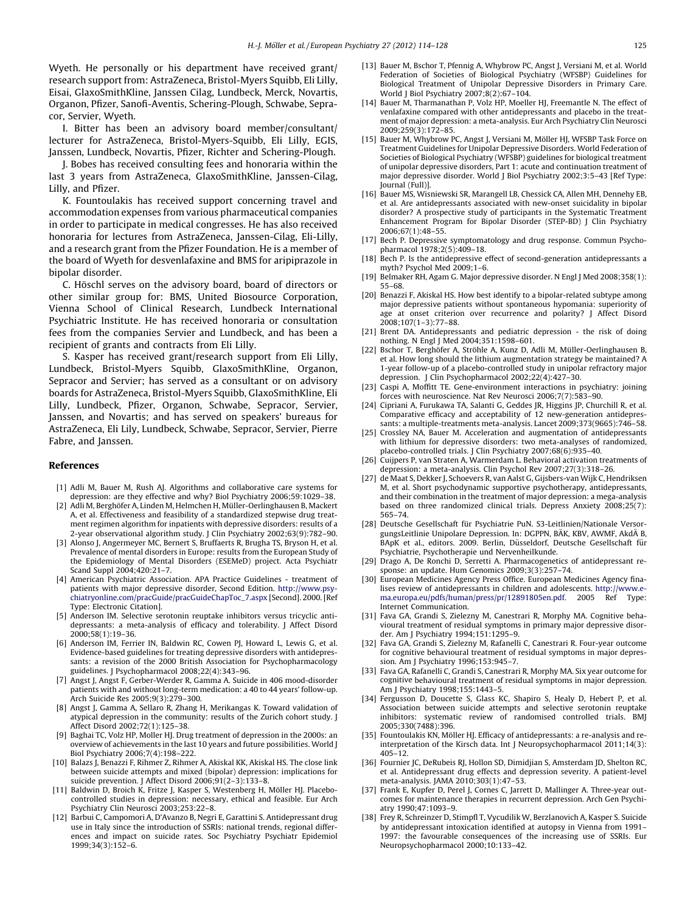<span id="page-11-0"></span>Wyeth. He personally or his department have received grant/ research support from: AstraZeneca, Bristol-Myers Squibb, Eli Lilly, Eisai, GlaxoSmithKline, Janssen Cilag, Lundbeck, Merck, Novartis, Organon, Pfizer, Sanofi-Aventis, Schering-Plough, Schwabe, Sepracor, Servier, Wyeth.

I. Bitter has been an advisory board member/consultant/ lecturer for AstraZeneca, Bristol-Myers-Squibb, Eli Lilly, EGIS, Janssen, Lundbeck, Novartis, Pfizer, Richter and Schering-Plough.

J. Bobes has received consulting fees and honoraria within the last 3 years from AstraZeneca, GlaxoSmithKline, Janssen-Cilag, Lilly, and Pfizer.

K. Fountoulakis has received support concerning travel and accommodation expenses from various pharmaceutical companies in order to participate in medical congresses. He has also received honoraria for lectures from AstraZeneca, Janssen-Cilag, Eli-Lilly, and a research grant from the Pfizer Foundation. He is a member of the board of Wyeth for desvenlafaxine and BMS for aripiprazole in bipolar disorder.

C. Höschl serves on the advisory board, board of directors or other similar group for: BMS, United Biosource Corporation, Vienna School of Clinical Research, Lundbeck International Psychiatric Institute. He has received honoraria or consultation fees from the companies Servier and Lundbeck, and has been a recipient of grants and contracts from Eli Lilly.

S. Kasper has received grant/research support from Eli Lilly, Lundbeck, Bristol-Myers Squibb, GlaxoSmithKline, Organon, Sepracor and Servier; has served as a consultant or on advisory boards for AstraZeneca, Bristol-Myers Squibb, GlaxoSmithKline, Eli Lilly, Lundbeck, Pfizer, Organon, Schwabe, Sepracor, Servier, Janssen, and Novartis; and has served on speakers' bureaus for AstraZeneca, Eli Lily, Lundbeck, Schwabe, Sepracor, Servier, Pierre Fabre, and Janssen.

#### References

- [1] Adli M, Bauer M, Rush AJ. Algorithms and collaborative care systems for depression: are they effective and why? Biol Psychiatry 2006;59:1029–38.
- [2] Adli M, Berghöfer A, Linden M, Helmchen H, Müller-Oerlinghausen B, Mackert A, et al. Effectiveness and feasibility of a standardized stepwise drug treatment regimen algorithm for inpatients with depressive disorders: results of a 2-year observational algorithm study. J Clin Psychiatry 2002;63(9):782–90.
- Alonso J, Angermeyer MC, Bernert S, Bruffaerts R, Brugha TS, Bryson H, et al. Prevalence of mental disorders in Europe: results from the European Study of the Epidemiology of Mental Disorders (ESEMeD) project. Acta Psychiatr Scand Suppl 2004;420:21–7.
- [4] American Psychiatric Association. APA Practice Guidelines treatment of patients with major depressive disorder, Second Edition. [http://www.psy](http://www.psychiatryonline.com/pracGuide/pracGuideChapToc_7.aspx)[chiatryonline.com/pracGuide/pracGuideChapToc\\_7.aspx](http://www.psychiatryonline.com/pracGuide/pracGuideChapToc_7.aspx) [Second]. 2000. [Ref Type: [Electronic](http://www.psychiatryonline.com/pracGuide/pracGuideChapToc_7.aspx) Citation].
- Anderson IM. Selective serotonin reuptake inhibitors versus tricyclic antidepressants: a meta-analysis of efficacy and tolerability. J Affect Disord 2000;58(1):19–36.
- [6] Anderson IM, Ferrier IN, Baldwin RC, Cowen PJ, Howard L, Lewis G, et al. Evidence-based guidelines for treating depressive disorders with antidepressants: a revision of the 2000 British Association for Psychopharmacology guidelines. J Psychopharmacol 2008;22(4):343–96.
- [7] Angst J, Angst F, Gerber-Werder R, Gamma A. Suicide in 406 mood-disorder patients with and without long-term medication: a 40 to 44 years' follow-up. Arch Suicide Res 2005;9(3):279–300.
- [8] Angst J, Gamma A, Sellaro R, Zhang H, Merikangas K. Toward validation of atypical depression in the community: results of the Zurich cohort study. J Affect Disord 2002;72(1):125–38.
- [9] Baghai TC, Volz HP, Moller HJ. Drug treatment of depression in the 2000s: an overview of achievements in the last 10 years and future possibilities. World J Biol Psychiatry 2006;7(4):198–222.
- [10] Balazs J, Benazzi F, Rihmer Z, Rihmer A, Akiskal KK, Akiskal HS. The close link between suicide attempts and mixed (bipolar) depression: implications for suicide prevention. J Affect Disord 2006;91(2–3):133–8.
- [11] Baldwin D, Broich K, Fritze J, Kasper S, Westenberg H, Möller HJ. Placebocontrolled studies in depression: necessary, ethical and feasible. Eur Arch Psychiatry Clin Neurosci 2003;253:22–8.
- [12] Barbui C, Campomori A, D'Avanzo B, Negri E, Garattini S. Antidepressant drug use in Italy since the introduction of SSRIs: national trends, regional differences and impact on suicide rates. Soc Psychiatry Psychiatr Epidemiol 1999;34(3):152–6.
- [13] Bauer M, Bschor T, Pfennig A, Whybrow PC, Angst J, Versiani M, et al. World Federation of Societies of Biological Psychiatry (WFSBP) Guidelines for Biological Treatment of Unipolar Depressive Disorders in Primary Care. World J Biol Psychiatry 2007;8(2):67–104.
- [14] Bauer M, Tharmanathan P, Volz HP, Moeller HJ, Freemantle N. The effect of venlafaxine compared with other antidepressants and placebo in the treatment of major depression: a meta-analysis. Eur Arch Psychiatry Clin Neurosci 2009;259(3):172–85.
- [15] Bauer M, Whybrow PC, Angst J, Versiani M, Möller HJ, WFSBP Task Force on Treatment Guidelines for Unipolar Depressive Disorders. World Federation of Societies of Biological Psychiatry (WFSBP) guidelines for biological treatment of unipolar depressive disorders, Part 1: acute and continuation treatment of major depressive disorder. World J Biol Psychiatry 2002;3:5–43 [Ref Type: Journal (Full)].
- [16] Bauer MS, Wisniewski SR, Marangell LB, Chessick CA, Allen MH, Dennehy EB, et al. Are antidepressants associated with new-onset suicidality in bipolar disorder? A prospective study of participants in the Systematic Treatment Enhancement Program for Bipolar Disorder (STEP-BD) J Clin Psychiatry 2006;67(1):48–55.
- [17] Bech P. Depressive symptomatology and drug response. Commun Psychopharmacol 1978;2(5):409–18.
- [18] Bech P. Is the antidepressive effect of second-generation antidepressants a myth? Psychol Med 2009;1–6.
- [19] Belmaker RH, Agam G. Major depressive disorder. N Engl J Med 2008;358(1): 55–68.
- [20] Benazzi F, Akiskal HS. How best identify to a bipolar-related subtype among major depressive patients without spontaneous hypomania: superiority of age at onset criterion over recurrence and polarity? J Affect Disord 2008;107(1–3):77–88.
- [21] Brent DA. Antidepressants and pediatric depression the risk of doing nothing. N Engl J Med 2004;351:1598–601.
- [22] Bschor T, Berghöfer A, Ströhle A, Kunz D, Adli M, Müller-Oerlinghausen B, et al. How long should the lithium augmentation strategy be maintained? A 1-year follow-up of a placebo-controlled study in unipolar refractory major depression. J Clin Psychopharmacol 2002;22(4):427–30.
- [23] Caspi A, Moffitt TE. Gene-environment interactions in psychiatry: joining forces with neuroscience. Nat Rev Neurosci 2006;7(7):583–90.
- [24] Cipriani A, Furukawa TA, Salanti G, Geddes JR, Higgins JP, Churchill R, et al. Comparative efficacy and acceptability of 12 new-generation antidepressants: a multiple-treatments meta-analysis. Lancet 2009;373(9665):746–58.
- [25] Crossley NA, Bauer M. Acceleration and augmentation of antidepressants with lithium for depressive disorders: two meta-analyses of randomized, placebo-controlled trials. J Clin Psychiatry 2007;68(6):935–40.
- [26] Cuijpers P, van Straten A, Warmerdam L. Behavioral activation treatments of depression: a meta-analysis. Clin Psychol Rev 2007;27(3):318–26.
- [27] de Maat S, Dekker J, Schoevers R, van Aalst G, Gijsbers-van Wijk C, Hendriksen M, et al. Short psychodynamic supportive psychotherapy, antidepressants, and their combination in the treatment of major depression: a mega-analysis based on three randomized clinical trials. Depress Anxiety 2008;25(7): 565–74.
- [28] Deutsche Gesellschaft für Psychiatrie PuN. S3-Leitlinien/Nationale VersorgungsLeitlinie Unipolare Depression. In: DGPPN, BÄK, KBV, AWMF, AkdÄ B, BApK et al., editors. 2009. Berlin, Düsseldorf, Deutsche Gesellschaft für Psychiatrie, Psychotherapie und Nervenheilkunde.
- [29] Drago A, De Ronchi D, Serretti A. Pharmacogenetics of antidepressant response: an update. Hum Genomics 2009;3(3):257–74.
- [30] European Medicines Agency Press Office. European Medicines Agency finalises review of antidepressants in children and adolescents. [http://www.e](http://www.ema.europa.eu/pdfs/human/press/pr/12891805en.pdf)[ma.europa.eu/pdfs/human/press/pr/12891805en.pdf.](http://www.ema.europa.eu/pdfs/human/press/pr/12891805en.pdf) 2005 Ref Type: Internet [Communication.](http://www.ema.europa.eu/pdfs/human/press/pr/12891805en.pdf)
- [31] Fava GA, Grandi S, Zielezny M, Canestrari R, Morphy MA. Cognitive behavioural treatment of residual symptoms in primary major depressive disorder. Am J Psychiatry 1994;151:1295–9.
- [32] Fava GA, Grandi S, Zielezny M, Rafanelli C, Canestrari R. Four-year outcome for cognitive behavioural treatment of residual symptoms in major depression. Am J Psychiatry 1996;153:945–7.
- [33] Fava GA, Rafanelli C, Grandi S, Canestrari R, Morphy MA. Six year outcome for cognitive behavioural treatment of residual symptoms in major depression. Am J Psychiatry 1998;155:1443–5.
- [34] Fergusson D, Doucette S, Glass KC, Shapiro S, Healy D, Hebert P, et al. Association between suicide attempts and selective serotonin reuptake inhibitors: systematic review of randomised controlled trials. BMJ 2005;330(7488):396.
- [35] Fountoulakis KN, Möller HJ. Efficacy of antidepressants: a re-analysis and reinterpretation of the Kirsch data. Int J Neuropsychopharmacol 2011;14(3): 405–12.
- [36] Fournier JC, DeRubeis RJ, Hollon SD, Dimidjian S, Amsterdam JD, Shelton RC, et al. Antidepressant drug effects and depression severity. A patient-level meta-analysis. JAMA 2010;303(1):47–53.
- Frank E, Kupfer D, Perel J, Cornes C, Jarrett D, Mallinger A. Three-year outcomes for maintenance therapies in recurrent depression. Arch Gen Psychiatry 1990;47:1093–9.
- [38] Frey R, Schreinzer D, Stimpfl T, Vycudilik W, Berzlanovich A, Kasper S. Suicide by antidepressant intoxication identified at autopsy in Vienna from 1991– 1997: the favourable consequences of the increasing use of SSRIs. Eur Neuropsychopharmacol 2000;10:133–42.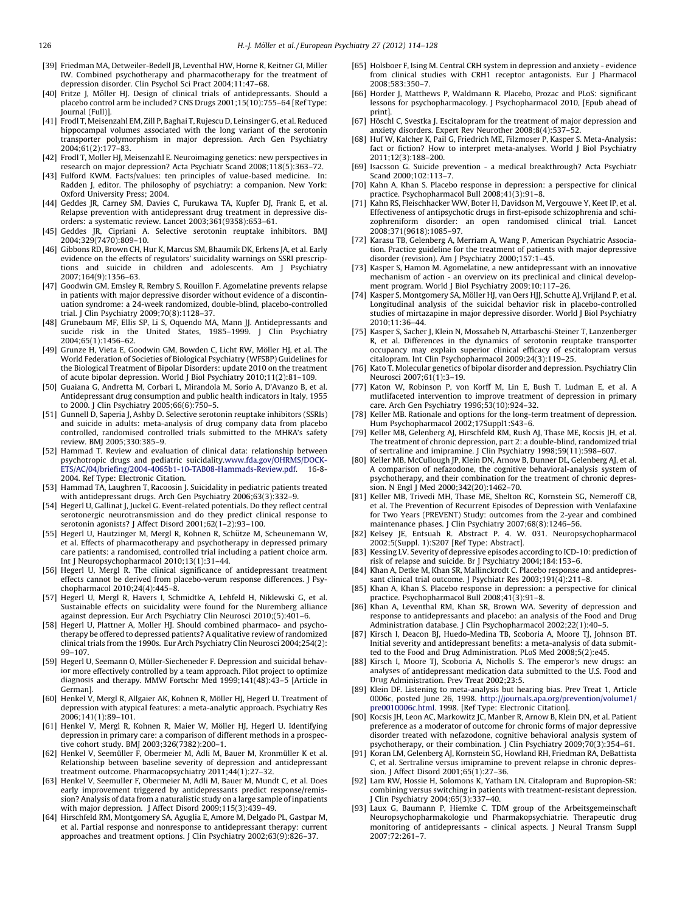- <span id="page-12-0"></span>[39] Friedman MA, Detweiler-Bedell JB, Leventhal HW, Horne R, Keitner GI, Miller IW. Combined psychotherapy and pharmacotherapy for the treatment of depression disorder. Clin Psychol Sci Pract 2004;11:47–68.
- [40] Fritze J, Möller HJ. Design of clinical trials of antidepressants. Should a placebo control arm be included? CNS Drugs 2001;15(10):755–64 [Ref Type: Journal (Full)].
- [41] Frodl T, Meisenzahl EM, Zill P, Baghai T, Rujescu D, Leinsinger G, et al. Reduced hippocampal volumes associated with the long variant of the serotonin transporter polymorphism in major depression. Arch Gen Psychiatry 2004;61(2):177–83.
- [42] Frodl T, Moller HJ, Meisenzahl E. Neuroimaging genetics: new perspectives in research on major depression? Acta Psychiatr Scand 2008;118(5):363–72.
- [43] Fulford KWM. Facts/values: ten principles of value-based medicine. In: Radden J, editor. The philosophy of psychiatry: a companion. New York: Oxford University Press; 2004.
- [44] Geddes JR, Carney SM, Davies C, Furukawa TA, Kupfer DJ, Frank E, et al. Relapse prevention with antidepressant drug treatment in depressive disorders: a systematic review. Lancet 2003;361(9358):653–61.
- [45] Geddes JR, Cipriani A. Selective serotonin reuptake inhibitors. BMJ 2004;329(7470):809–10.
- [46] Gibbons RD, Brown CH, Hur K, Marcus SM, Bhaumik DK, Erkens JA, et al. Early evidence on the effects of regulators' suicidality warnings on SSRI prescriptions and suicide in children and adolescents. Am J Psychiatry 2007;164(9):1356–63.
- [47] Goodwin GM, Emsley R, Rembry S, Rouillon F. Agomelatine prevents relapse in patients with major depressive disorder without evidence of a discontinuation syndrome: a 24-week randomized, double-blind, placebo-controlled trial. J Clin Psychiatry 2009;70(8):1128–37.
- [48] Grunebaum MF, Ellis SP, Li S, Oquendo MA, Mann JJ. Antidepressants and sucide risk in the United States, 1985–1999. J Clin Psychiatry 2004;65(1):1456–62.
- [49] Grunze H, Vieta E, Goodwin GM, Bowden C, Licht RW, Möller HJ, et al. The World Federation of Societies of Biological Psychiatry (WFSBP) Guidelines for the Biological Treatment of Bipolar Disorders: update 2010 on the treatment of acute bipolar depression. World J Biol Psychiatry 2010;11(2):81–109.
- [50] Guaiana G, Andretta M, Corbari L, Mirandola M, Sorio A, D'Avanzo B, et al. Antidepressant drug consumption and public health indicators in Italy, 1955 to 2000. J Clin Psychiatry 2005;66(6):750–5.
- [51] Gunnell D, Saperia J, Ashby D. Selective serotonin reuptake inhibitors (SSRIs) and suicide in adults: meta-analysis of drug company data from placebo controlled, randomised controlled trials submitted to the MHRA's safety review. BMJ 2005;330:385–9.
- [52] Hammad T. Review and evaluation of clinical data: relationship between psychotropic drugs and pediatric suicidality[.www.fda.gov/OHRMS/DOCK-](http://www.fda.gov/OHRMS/DOCKETS/AC/04/briefing/2004-4065b1-10-TAB08-Hammads-Review.pdf)[ETS/AC/04/briefing/2004-4065b1-10-TAB08-Hammads-Review.pdf.](http://www.fda.gov/OHRMS/DOCKETS/AC/04/briefing/2004-4065b1-10-TAB08-Hammads-Review.pdf) 16-8- 2004. Ref Type: [Electronic](http://www.fda.gov/OHRMS/DOCKETS/AC/04/briefing/2004-4065b1-10-TAB08-Hammads-Review.pdf) Citation.
- [53] Hammad TA, Laughren T, Racoosin J. Suicidality in pediatric patients treated with antidepressant drugs. Arch Gen Psychiatry 2006;63(3):332–9.
- [54] Hegerl U, Gallinat J, Juckel G. Event-related potentials. Do they reflect central serotonergic neurotransmission and do they predict clinical response to serotonin agonists? J Affect Disord 2001;62(1-2):93-100.
- [55] Hegerl U, Hautzinger M, Mergl R, Kohnen R, Schütze M, Scheunemann W, et al. Effects of pharmacotherapy and psychotherapy in depressed primary care patients: a randomised, controlled trial including a patient choice arm. Int J Neuropsychopharmacol 2010;13(1):31–44.
- [56] Hegerl U, Mergl R. The clinical significance of antidepressant treatment effects cannot be derived from placebo-verum response differences. J Psychopharmacol 2010;24(4):445–8.
- [57] Hegerl U, Mergl R, Havers I, Schmidtke A, Lehfeld H, Niklewski G, et al. Sustainable effects on suicidality were found for the Nuremberg alliance against depression. Eur Arch Psychiatry Clin Neurosci 2010;(5):401–6.
- [58] Hegerl U, Plattner A, Moller HJ, Should combined pharmaco- and psychotherapy be offered to depressed patients? A qualitative review of randomized clinical trials from the 1990s. Eur Arch Psychiatry Clin Neurosci 2004;254(2): 99–107.
- [59] Hegerl U, Seemann O, Müller-Siecheneder F. Depression and suicidal behavior more effectively controlled by a team approach. Pilot project to optimize diagnosis and therapy. MMW Fortschr Med 1999;141(48):43–5 [Article in German].
- [60] Henkel V, Mergl R, Allgaier AK, Kohnen R, Möller HJ, Hegerl U. Treatment of depression with atypical features: a meta-analytic approach. Psychiatry Res 2006;141(1):89–101.
- [61] Henkel V, Mergl R, Kohnen R, Maier W, Möller HJ, Hegerl U. Identifying depression in primary care: a comparison of different methods in a prospective cohort study. BMJ 2003;326(7382):200–1.
- [62] Henkel V, Seemüller F, Obermeier M, Adli M, Bauer M, Kronmüller K et al. Relationship between baseline severity of depression and antidepressant treatment outcome. Pharmacopsychiatry 2011;44(1):27–32.
- [63] Henkel V, Seemuller F, Obermeier M, Adli M, Bauer M, Mundt C, et al. Does early improvement triggered by antidepressants predict response/remission? Analysis of data from a naturalistic study on a large sample of inpatients with major depression. J Affect Disord 2009;115(3):439–49.
- [64] Hirschfeld RM, Montgomery SA, Aguglia E, Amore M, Delgado PL, Gastpar M, et al. Partial response and nonresponse to antidepressant therapy: current approaches and treatment options. J Clin Psychiatry 2002;63(9):826–37.
- [65] Holsboer F, Ising M. Central CRH system in depression and anxiety evidence from clinical studies with CRH1 receptor antagonists. Eur J Pharmacol 2008;583:350–7.
- [66] Horder J, Matthews P, Waldmann R. Placebo, Prozac and PLoS: significant lessons for psychopharmacology. J Psychopharmacol 2010, [Epub ahead of print].
- [67] Höschl C, Svestka J. Escitalopram for the treatment of major depression and anxiety disorders. Expert Rev Neurother 2008;8(4):537–52.
- [68] Huf W, Kalcher K, Pail G, Friedrich ME, Filzmoser P, Kasper S. Meta-Analysis: fact or fiction? How to interpret meta-analyses. World J Biol Psychiatry 2011;12(3):188–200.
- [69] Isacsson G. Suicide prevention a medical breakthrough? Acta Psychiatr Scand 2000;102:113–7.
- [70] Kahn A, Khan S. Placebo response in depression: a perspective for clinical practice. Psychopharmacol Bull 2008;41(3):91–8.
- [71] Kahn RS, Fleischhacker WW, Boter H, Davidson M, Vergouwe Y, Keet IP, et al. Effectiveness of antipsychotic drugs in first-episode schizophrenia and schizophreniform disorder: an open randomised clinical trial. Lancet 2008;371(9618):1085–97.
- [72] Karasu TB, Gelenberg A, Merriam A, Wang P, American Psychiatric Association. Practice guideline for the treatment of patients with major depressive disorder (revision). Am J Psychiatry 2000;157:1–45.
- [73] Kasper S, Hamon M. Agomelatine, a new antidepressant with an innovative mechanism of action - an overview on its preclinical and clinical development program. World J Biol Psychiatry 2009;10:117–26.
- [74] Kasper S, Montgomery SA, Möller HJ, van Oers HJJ, Schutte AJ, Vrijland P, et al. Longitudinal analysis of the suicidal behavior risk in placebo-controlled studies of mirtazapine in major depressive disorder. World J Biol Psychiatry 2010;11:36–44.
- [75] Kasper S, Sacher J, Klein N, Mossaheb N, Attarbaschi-Steiner T, Lanzenberger R, et al. Differences in the dynamics of serotonin reuptake transporter occupancy may explain superior clinical efficacy of escitalopram versus citalopram. Int Clin Psychopharmacol 2009;24(3):119–25.
- [76] Kato T. Molecular genetics of bipolar disorder and depression. Psychiatry Clin Neurosci 2007;61(1):3–19.
- [77] Katon W, Robinson P, von Korff M, Lin E, Bush T, Ludman E, et al. A mutlifaceted intervention to improve treatment of depression in primary care. Arch Gen Psychiatry 1996;53(10):924–32.
- [78] Keller MB. Rationale and options for the long-term treatment of depression. Hum Psychopharmacol 2002;17Suppl1:S43–6.
- [79] Keller MB, Gelenberg AJ, Hirschfeld RM, Rush AJ, Thase ME, Kocsis JH, et al. The treatment of chronic depression, part 2: a double-blind, randomized trial of sertraline and imipramine. J Clin Psychiatry 1998;59(11):598–607.
- [80] Keller MB, McCullough JP, Klein DN, Arnow B, Dunner DL, Gelenberg AJ, et al. A comparison of nefazodone, the cognitive behavioral-analysis system of psychotherapy, and their combination for the treatment of chronic depression. N Engl J Med 2000;342(20):1462–70.
- [81] Keller MB, Trivedi MH, Thase ME, Shelton RC, Kornstein SG, Nemeroff CB, et al. The Prevention of Recurrent Episodes of Depression with Venlafaxine for Two Years (PREVENT) Study: outcomes from the 2-year and combined maintenance phases. J Clin Psychiatry 2007;68(8):1246–56.
- [82] Kelsey JE, Entsuah R. Abstract P. 4. W. 031. Neuropsychopharmacol 2002;5(Suppl. 1):S207 [Ref Type: Abstract].
- [83] Kessing LV. Severity of depressive episodes according to ICD-10: prediction of risk of relapse and suicide. Br J Psychiatry 2004;184:153–6.
- [84] Khan A, Detke M, Khan SR, Mallinckrodt C. Placebo response and antidepressant clinical trial outcome. J Psychiatr Res 2003;191(4):211-8.
- [85] Khan A, Khan S. Placebo response in depression: a perspective for clinical practice. Psychopharmacol Bull 2008;41(3):91–8.
- [86] Khan A, Leventhal RM, Khan SR, Brown WA. Severity of depression and response to antidepressants and placebo: an analysis of the Food and Drug Administration database. J Clin Psychopharmacol 2002;22(1):40–5.
- [87] Kirsch I, Deacon BJ, Huedo-Medina TB, Scoboria A, Moore TJ, Johnson BT. Initial severity and antidepressant benefits: a meta-analysis of data submitted to the Food and Drug Administration. PLoS Med 2008;5(2):e45.
- [88] Kirsch I, Moore TJ, Scoboria A, Nicholls S. The emperor's new drugs: an analyses of antidepressant medication data submitted to the U.S. Food and Drug Administration. Prev Treat 2002;23:5.
- [89] Klein DF. Listening to meta-analysis but hearing bias. Prev Treat 1, Article 0006c, posted June 26, 1998. [http://journals.apa.org/prevention/volume1/](http://journals.apa.org/prevention/volume1/pre0010006c.html) [pre0010006c.html.](http://journals.apa.org/prevention/volume1/pre0010006c.html) 1998. [Ref Type: Electronic Citation].
- [90] Kocsis JH, Leon AC, Markowitz JC, Manber R, Arnow B, Klein DN, et al. Patient preference as a moderator of outcome for chronic forms of major depressive disorder treated with nefazodone, cognitive behavioral analysis system of psychotherapy, or their combination. J Clin Psychiatry 2009;70(3):354–61.
- [91] Koran LM, Gelenberg AJ, Kornstein SG, Howland RH, Friedman RA, DeBattista C, et al. Sertraline versus imipramine to prevent relapse in chronic depression. J Affect Disord 2001;65(1):27–36.
- [92] Lam RW, Hossie H, Solomons K, Yatham LN. Citalopram and Bupropion-SR: combining versus switching in patients with treatment-resistant depression. J Clin Psychiatry 2004;65(3):337–40.
- [93] Laux G, Baumann P, Hiemke C. TDM group of the Arbeitsgemeinschaft Neuropsychopharmakologie und Pharmakopsychiatrie. Therapeutic drug monitoring of antidepressants - clinical aspects. J Neural Transm Suppl 2007;72:261–7.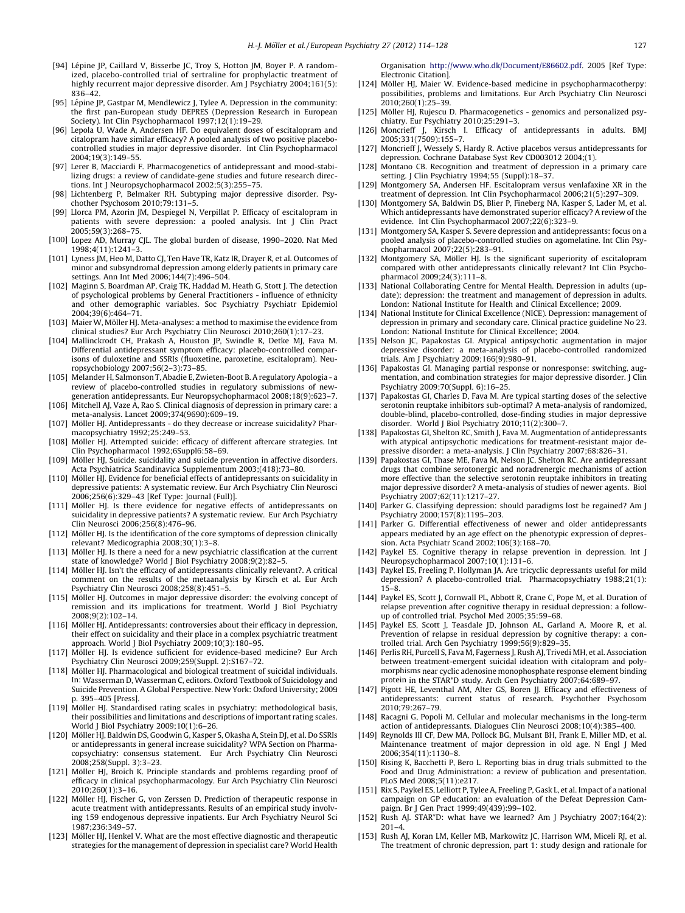- <span id="page-13-0"></span>[94] Lépine JP, Caillard V, Bisserbe JC, Troy S, Hotton JM, Boyer P. A randomized, placebo-controlled trial of sertraline for prophylactic treatment of highly recurrent major depressive disorder. Am J Psychiatry 2004;161(5): 836–42.
- [95] Lépine JP, Gastpar M, Mendlewicz J, Tylee A. Depression in the community: the first pan-European study DEPRES (Depression Research in European Society). Int Clin Psychopharmacol 1997;12(1):19-29.
- [96] Lepola U, Wade A, Andersen HF. Do equivalent doses of escitalopram and citalopram have similar efficacy? A pooled analysis of two positive placebocontrolled studies in major depressive disorder. Int Clin Psychopharmacol 2004;19(3):149–55.
- [97] Lerer B, Macciardi F. Pharmacogenetics of antidepressant and mood-stabilizing drugs: a review of candidate-gene studies and future research directions. Int J Neuropsychopharmacol 2002;5(3):255–75.
- [98] Lichtenberg P, Belmaker RH. Subtyping major depressive disorder. Psychother Psychosom 2010;79:131–5.
- [99] Llorca PM, Azorin JM, Despiegel N, Verpillat P. Efficacy of escitalopram in patients with severe depression: a pooled analysis. Int J Clin Pract 2005;59(3):268–75.
- [100] Lopez AD, Murray CJL. The global burden of disease, 1990–2020. Nat Med 1998;4(11):1241–3.
- [101] Lyness JM, Heo M, Datto CJ, Ten Have TR, Katz IR, Drayer R, et al. Outcomes of minor and subsyndromal depression among elderly patients in primary care settings. Ann Int Med 2006;144(7):496–504.
- [102] Maginn S, Boardman AP, Craig TK, Haddad M, Heath G, Stott J. The detection of psychological problems by General Practitioners - influence of ethnicity and other demographic variables. Soc Psychiatry Psychiatr Epidemiol 2004;39(6):464–71.
- [103] Maier W, Möller HJ. Meta-analyses: a method to maximise the evidence from clinical studies? Eur Arch Psychiatry Clin Neurosci 2010;260(1):17–23.
- [104] Mallinckrodt CH, Prakash A, Houston JP, Swindle R, Detke MJ, Fava M. Differential antidepressant symptom efficacy: placebo-controlled comparisons of duloxetine and SSRIs (fluoxetine, paroxetine, escitalopram). Neuropsychobiology 2007;56(2–3):73–85.
- [105] Melander H, Salmonson T, Abadie E, Zwieten-Boot B. A regulatory Apologia a review of placebo-controlled studies in regulatory submissions of newgeneration antidepressants. Eur Neuropsychopharmacol 2008;18(9):623–7.
- [106] Mitchell AJ, Vaze A, Rao S, Clinical diagnosis of depression in primary care: a meta-analysis. Lancet 2009;374(9690):609–19.
- [107] Möller HJ. Antidepressants do they decrease or increase suicidality? Pharmacopsychiatry 1992;25:249–53.
- [108] Möller HJ. Attempted suicide: efficacy of different aftercare strategies. Int Clin Psychopharmacol 1992;6Suppl6:58–69.
- [109] Möller HJ, Suicide, suicidality and suicide prevention in affective disorders. Acta Psychiatrica Scandinavica Supplementum 2003;(418):73–80.
- $[110]$  Möller  $\overline{H}$  Evidence for beneficial effects of antidepressants on suicidality in depressive patients: A systematic review. Eur Arch Psychiatry Clin Neurosci 2006;256(6):329–43 [Ref Type: Journal (Full)].
- [111] Möller HJ. Is there evidence for negative effects of antidepressants on suicidality in depressive patients? A systematic review. Eur Arch Psychiatry Clin Neurosci 2006;256(8):476–96.
- [112] Möller HJ. Is the identification of the core symptoms of depression clinically relevant? Medicographia 2008;30(1):3–8.
- [113] Möller HJ. Is there a need for a new psychiatric classification at the current state of knowledge? World J Biol Psychiatry 2008;9(2):82–5.
- [114] Möller HJ. Isn't the efficacy of antidepressants clinically relevant?. A critical comment on the results of the metaanalysis by Kirsch et al. Eur Arch Psychiatry Clin Neurosci 2008;258(8):451–5.
- [115] Möller HJ. Outcomes in major depressive disorder: the evolving concept of remission and its implications for treatment. World J Biol Psychiatry 2008;9(2):102–14.
- [116] Möller HJ. Antidepressants: controversies about their efficacy in depression, their effect on suicidality and their place in a complex psychiatric treatment approach. World J Biol Psychiatry 2009;10(3):180–95.
- [117] Möller HJ. Is evidence sufficient for evidence-based medicine? Eur Arch Psychiatry Clin Neurosci 2009;259(Suppl. 2):S167–72.
- [118] Möller HJ. Pharmacological and biological treatment of suicidal individuals. In: Wasserman D, Wasserman C, editors. Oxford Textbook of Suicidology and Suicide Prevention. A Global Perspective. New York: Oxford University; 2009. p. 395–405 [Press].
- [119] Möller HJ. Standardised rating scales in psychiatry: methodological basis, their possibilities and limitations and descriptions of important rating scales. World J Biol Psychiatry 2009;10(1):6–26.
- [120] Möller HJ, Baldwin DS, Goodwin G, Kasper S, Okasha A, Stein DJ, et al. Do SSRIs or antidepressants in general increase suicidality? WPA Section on Pharmacopsychiatry: consensus statement. Eur Arch Psychiatry Clin Neurosci 2008;258(Suppl. 3):3–23.
- [121] Möller HJ, Broich K. Principle standards and problems regarding proof of efficacy in clinical psychopharmacology. Eur Arch Psychiatry Clin Neurosci 2010;260(1):3–16.
- [122] Möller HJ, Fischer G, von Zerssen D. Prediction of therapeutic response in acute treatment with antidepressants. Results of an empirical study involving 159 endogenous depressive inpatients. Eur Arch Psychiatry Neurol Sci 1987;236:349–57.
- [123] Möller HJ, Henkel V. What are the most effective diagnostic and therapeutic strategies for the management of depression in specialist care? World Health

Organisation [http://www.who.dk/Document/E86602.pdf.](http://www.who.dk/Document/E86602.pdf) 2005 [Ref Type: [Electronic](http://www.who.dk/Document/E86602.pdf) Citation].

- [124] Möller HJ, Maier W. Evidence-based medicine in psychopharmacotherpy: possibilities, problems and limitations. Eur Arch Psychiatry Clin Neurosci 2010;260(1):25–39.
- [125] Möller HJ, Rujescu D. Pharmacogenetics genomics and personalized psychiatry. Eur Psychiatry 2010;25:291–3.
- [126] Moncrieff J, Kirsch I. Efficacy of antidepressants in adults. BMJ 2005;331(7509):155–7.
- [127] Moncrieff J, Wessely S, Hardy R. Active placebos versus antidepressants for depression. Cochrane Database Syst Rev CD003012 2004;(1).
- [128] Montano CB. Recognition and treatment of depression in a primary care setting. J Clin Psychiatry 1994;55 (Suppl):18-37.
- [129] Montgomery SA, Andersen HF. Escitalopram versus venlafaxine XR in the treatment of depression. Int Clin Psychopharmacol 2006;21(5):297–309.
- [130] Montgomery SA, Baldwin DS, Blier P, Fineberg NA, Kasper S, Lader M, et al. Which antidepressants have demonstrated superior efficacy? A review of the evidence. Int Clin Psychopharmacol 2007;22(6):323–9.
- [131] Montgomery SA, Kasper S. Severe depression and antidepressants: focus on a pooled analysis of placebo-controlled studies on agomelatine. Int Clin Psychopharmacol 2007;22(5):283–91.
- [132] Montgomery SA, Möller HJ. Is the significant superiority of escitalopram compared with other antidepressants clinically relevant? Int Clin Psychopharmacol 2009;24(3):111–8.
- [133] National Collaborating Centre for Mental Health. Depression in adults (update); depression: the treatment and management of depression in adults. London: National Institute for Health and Clinical Excellence; 2009.
- [134] National Institute for Clinical Excellence (NICE). Depression: management of depression in primary and secondary care. Clinical practice guideline No 23. London: National Institute for Clinical Excellence; 2004.
- [135] Nelson JC, Papakostas GI. Atypical antipsychotic augmentation in major depressive disorder: a meta-analysis of placebo-controlled randomized trials. Am J Psychiatry 2009;166(9):980–91.
- [136] Papakostas GI. Managing partial response or nonresponse: switching, augmentation, and combination strategies for major depressive disorder. J Clin Psychiatry 2009;70(Suppl. 6):16–25.
- [137] Papakostas GI, Charles D, Fava M. Are typical starting doses of the selective serotonin reuptake inhibitors sub-optimal? A meta-analysis of randomized, double-blind, placebo-controlled, dose-finding studies in major depressive disorder. World J Biol Psychiatry 2010;11(2):300-7.
- [138] Papakostas GI, Shelton RC, Smith J, Fava M. Augmentation of antidepressants with atypical antipsychotic medications for treatment-resistant major depressive disorder: a meta-analysis. J Clin Psychiatry 2007;68:826–31.
- [139] Papakostas GI, Thase ME, Fava M, Nelson JC, Shelton RC. Are antidepressant drugs that combine serotonergic and noradrenergic mechanisms of action more effective than the selective serotonin reuptake inhibitors in treating major depressive disorder? A meta-analysis of studies of newer agents. Biol Psychiatry 2007;62(11):1217–27.
- [140] Parker G. Classifying depression: should paradigms lost be regained? Am J Psychiatry 2000;157(8):1195–203.
- [141] Parker G. Differential effectiveness of newer and older antidepressants appears mediated by an age effect on the phenotypic expression of depression. Acta Psychiatr Scand 2002;106(3):168–70.
- [142] Paykel ES. Cognitive therapy in relapse prevention in depression. Int J Neuropsychopharmacol 2007;10(1):131–6.
- [143] Paykel ES, Freeling P, Hollyman JA. Are tricyclic depressants useful for mild depression? A placebo-controlled trial. Pharmacopsychiatry 1988;21(1): 15–8.
- [144] Paykel ES, Scott J, Cornwall PL, Abbott R, Crane C, Pope M, et al. Duration of relapse prevention after cognitive therapy in residual depression: a followup of controlled trial. Psychol Med 2005;35:59–68.
- [145] Paykel ES, Scott J, Teasdale JD, Johnson AL, Garland A, Moore R, et al. Prevention of relapse in residual depression by cognitive therapy: a controlled trial. Arch Gen Psychiatry 1999;56(9):829–35.
- [146] Perlis RH, Purcell S, Fava M, Fagerness J, Rush AJ, Trivedi MH, et al. Association between treatment-emergent suicidal ideation with citalopram and polymorphisms near cyclic adenosine monophosphate response element binding protein in the STAR\*D study. Arch Gen Psychiatry 2007;64:689–97.
- [147] Pigott HE, Leventhal AM, Alter GS, Boren JJ. Efficacy and effectiveness of antidepressants: current status of research. Psychother Psychosom 2010;79:267–79.
- [148] Racagni G, Popoli M. Cellular and molecular mechanisms in the long-term action of antidepressants. Dialogues Clin Neurosci 2008;10(4):385–400.
- [149] Reynolds III CF, Dew MA, Pollock BG, Mulsant BH, Frank E, Miller MD, et al. Maintenance treatment of major depression in old age. N Engl J Med 2006;354(11):1130–8.
- [150] Rising K, Bacchetti P, Bero L. Reporting bias in drug trials submitted to the Food and Drug Administration: a review of publication and presentation. PLoS Med 2008;5(11):e217.
- [151] Rix S, Paykel ES, Lelliott P, Tylee A, Freeling P, Gask L, et al. Impact of a national campaign on GP education: an evaluation of the Defeat Depression Campaign. Br J Gen Pract 1999;49(439):99–102.
- [152] Rush AJ. STAR\*D: what have we learned? Am J Psychiatry 2007;164(2):  $201 - 4$
- [153] Rush AJ, Koran LM, Keller MB, Markowitz JC, Harrison WM, Miceli RJ, et al. The treatment of chronic depression, part 1: study design and rationale for